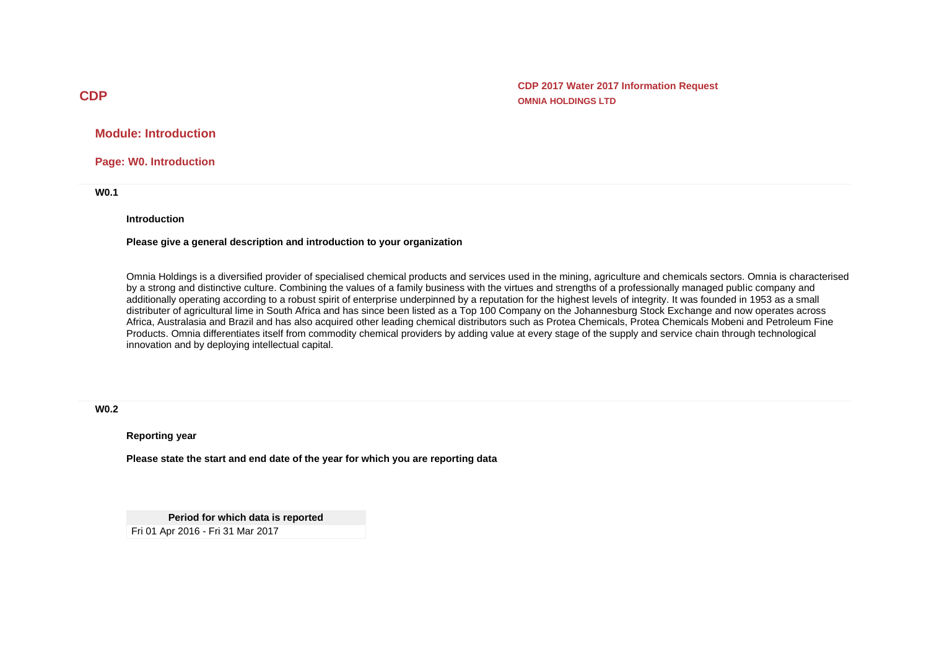**CDP 2017 Water 2017 Information Request OMNIA HOLDINGS LTD**

**Module: Introduction**

**Page: W0. Introduction**

**W0.1**

**Introduction**

#### **Please give a general description and introduction to your organization**

Omnia Holdings is a diversified provider of specialised chemical products and services used in the mining, agriculture and chemicals sectors. Omnia is characterised by a strong and distinctive culture. Combining the values of a family business with the virtues and strengths of a professionally managed public company and additionally operating according to a robust spirit of enterprise underpinned by a reputation for the highest levels of integrity. It was founded in 1953 as a small distributer of agricultural lime in South Africa and has since been listed as a Top 100 Company on the Johannesburg Stock Exchange and now operates across Africa, Australasia and Brazil and has also acquired other leading chemical distributors such as Protea Chemicals, Protea Chemicals Mobeni and Petroleum Fine Products. Omnia differentiates itself from commodity chemical providers by adding value at every stage of the supply and service chain through technological innovation and by deploying intellectual capital.

**W0.2**

**Reporting year**

**Please state the start and end date of the year for which you are reporting data**

**Period for which data is reported** Fri 01 Apr 2016 - Fri 31 Mar 2017

# **CDP**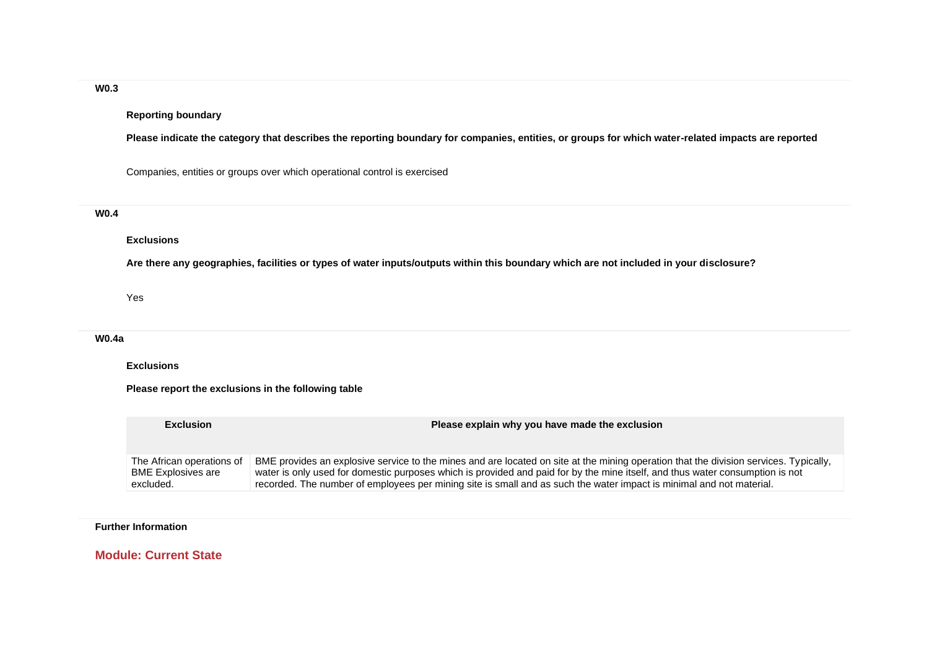# **W0.3**

### **Reporting boundary**

**Please indicate the category that describes the reporting boundary for companies, entities, or groups for which water-related impacts are reported**

Companies, entities or groups over which operational control is exercised

### **W0.4**

#### **Exclusions**

**Are there any geographies, facilities or types of water inputs/outputs within this boundary which are not included in your disclosure?**

Yes

#### **W0.4a**

**Exclusions**

**Please report the exclusions in the following table**

| <b>Exclusion</b>          | Please explain why you have made the exclusion                                                                                        |
|---------------------------|---------------------------------------------------------------------------------------------------------------------------------------|
| The African operations of | BME provides an explosive service to the mines and are located on site at the mining operation that the division services. Typically, |
| <b>BME Explosives are</b> | water is only used for domestic purposes which is provided and paid for by the mine itself, and thus water consumption is not         |
| excluded.                 | recorded. The number of employees per mining site is small and as such the water impact is minimal and not material.                  |

### **Further Information**

**Module: Current State**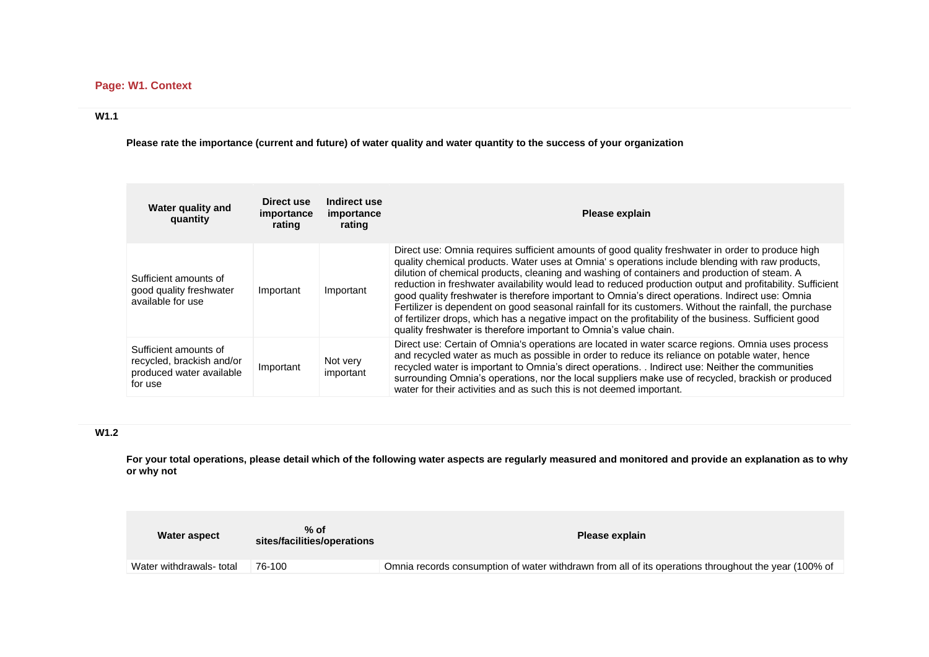# **Page: W1. Context**

# **W1.1**

**Please rate the importance (current and future) of water quality and water quantity to the success of your organization**

| Water quality and<br>quantity                                                             | Direct use<br>importance<br>rating | Indirect use<br>importance<br>rating | Please explain                                                                                                                                                                                                                                                                                                                                                                                                                                                                                                                                                                                                                                                                                                                                                                                                   |
|-------------------------------------------------------------------------------------------|------------------------------------|--------------------------------------|------------------------------------------------------------------------------------------------------------------------------------------------------------------------------------------------------------------------------------------------------------------------------------------------------------------------------------------------------------------------------------------------------------------------------------------------------------------------------------------------------------------------------------------------------------------------------------------------------------------------------------------------------------------------------------------------------------------------------------------------------------------------------------------------------------------|
| Sufficient amounts of<br>good quality freshwater<br>available for use                     | Important                          | Important                            | Direct use: Omnia requires sufficient amounts of good quality freshwater in order to produce high<br>quality chemical products. Water uses at Omnia's operations include blending with raw products,<br>dilution of chemical products, cleaning and washing of containers and production of steam. A<br>reduction in freshwater availability would lead to reduced production output and profitability. Sufficient<br>good quality freshwater is therefore important to Omnia's direct operations. Indirect use: Omnia<br>Fertilizer is dependent on good seasonal rainfall for its customers. Without the rainfall, the purchase<br>of fertilizer drops, which has a negative impact on the profitability of the business. Sufficient good<br>quality freshwater is therefore important to Omnia's value chain. |
| Sufficient amounts of<br>recycled, brackish and/or<br>produced water available<br>for use | Important                          | Not very<br>important                | Direct use: Certain of Omnia's operations are located in water scarce regions. Omnia uses process<br>and recycled water as much as possible in order to reduce its reliance on potable water, hence<br>recycled water is important to Omnia's direct operations. . Indirect use: Neither the communities<br>surrounding Omnia's operations, nor the local suppliers make use of recycled, brackish or produced<br>water for their activities and as such this is not deemed important.                                                                                                                                                                                                                                                                                                                           |

# **W1.2**

**For your total operations, please detail which of the following water aspects are regularly measured and monitored and provide an explanation as to why or why not**

| Water aspect             | $%$ of<br>sites/facilities/operations | Please explain                                                                                       |
|--------------------------|---------------------------------------|------------------------------------------------------------------------------------------------------|
| Water withdrawals- total | 76-100                                | Omnia records consumption of water withdrawn from all of its operations throughout the year (100% of |
|                          |                                       |                                                                                                      |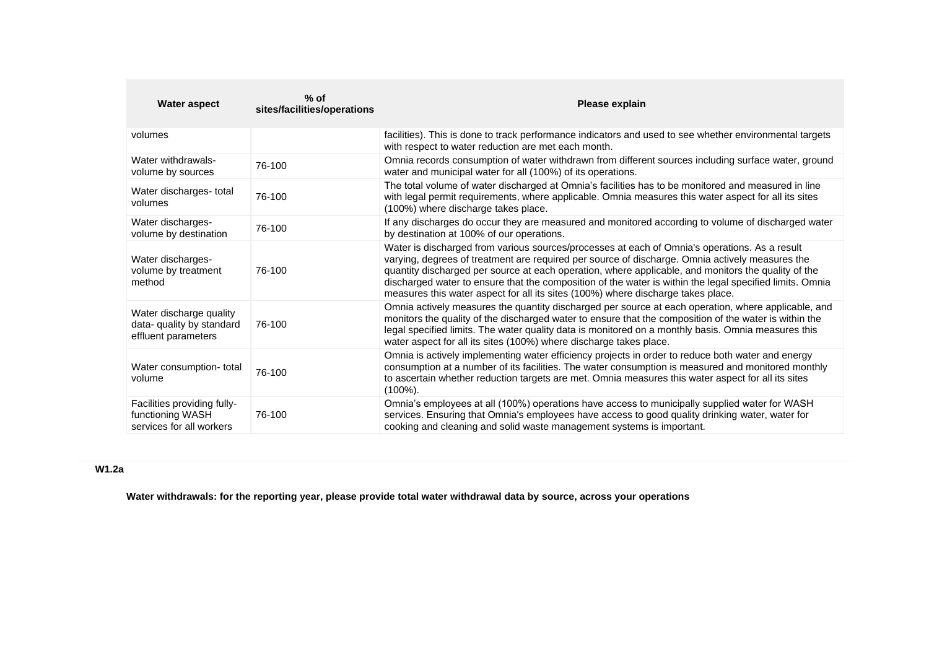| <b>Water aspect</b>                                                         | $%$ of<br>sites/facilities/operations | Please explain                                                                                                                                                                                                                                                                                                                                                                                                                                                                                          |
|-----------------------------------------------------------------------------|---------------------------------------|---------------------------------------------------------------------------------------------------------------------------------------------------------------------------------------------------------------------------------------------------------------------------------------------------------------------------------------------------------------------------------------------------------------------------------------------------------------------------------------------------------|
| volumes                                                                     |                                       | facilities). This is done to track performance indicators and used to see whether environmental targets<br>with respect to water reduction are met each month.                                                                                                                                                                                                                                                                                                                                          |
| Water withdrawals-<br>volume by sources                                     | 76-100                                | Omnia records consumption of water withdrawn from different sources including surface water, ground<br>water and municipal water for all (100%) of its operations.                                                                                                                                                                                                                                                                                                                                      |
| Water discharges- total<br>volumes                                          | 76-100                                | The total volume of water discharged at Omnia's facilities has to be monitored and measured in line<br>with legal permit requirements, where applicable. Omnia measures this water aspect for all its sites<br>(100%) where discharge takes place.                                                                                                                                                                                                                                                      |
| Water discharges-<br>volume by destination                                  | 76-100                                | If any discharges do occur they are measured and monitored according to volume of discharged water<br>by destination at 100% of our operations.                                                                                                                                                                                                                                                                                                                                                         |
| Water discharges-<br>volume by treatment<br>method                          | 76-100                                | Water is discharged from various sources/processes at each of Omnia's operations. As a result<br>varying, degrees of treatment are required per source of discharge. Omnia actively measures the<br>quantity discharged per source at each operation, where applicable, and monitors the quality of the<br>discharged water to ensure that the composition of the water is within the legal specified limits. Omnia<br>measures this water aspect for all its sites (100%) where discharge takes place. |
| Water discharge quality<br>data- quality by standard<br>effluent parameters | 76-100                                | Omnia actively measures the quantity discharged per source at each operation, where applicable, and<br>monitors the quality of the discharged water to ensure that the composition of the water is within the<br>legal specified limits. The water quality data is monitored on a monthly basis. Omnia measures this<br>water aspect for all its sites (100%) where discharge takes place.                                                                                                              |
| Water consumption-total<br>volume                                           | 76-100                                | Omnia is actively implementing water efficiency projects in order to reduce both water and energy<br>consumption at a number of its facilities. The water consumption is measured and monitored monthly<br>to ascertain whether reduction targets are met. Omnia measures this water aspect for all its sites<br>$(100\%)$ .                                                                                                                                                                            |
| Facilities providing fully-<br>functioning WASH<br>services for all workers | 76-100                                | Omnia's employees at all (100%) operations have access to municipally supplied water for WASH<br>services. Ensuring that Omnia's employees have access to good quality drinking water, water for<br>cooking and cleaning and solid waste management systems is important.                                                                                                                                                                                                                               |

# **W1.2a**

**Water withdrawals: for the reporting year, please provide total water withdrawal data by source, across your operations**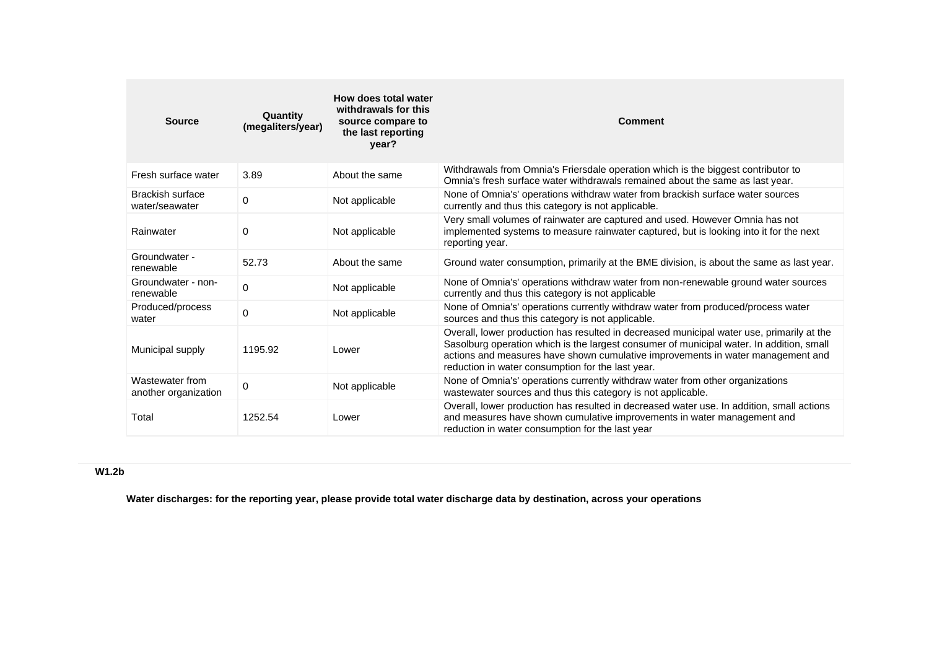| <b>Source</b>                             | Quantity<br>(megaliters/year) | How does total water<br>withdrawals for this<br>source compare to<br>the last reporting<br>year? | Comment                                                                                                                                                                                                                                                                                                                       |
|-------------------------------------------|-------------------------------|--------------------------------------------------------------------------------------------------|-------------------------------------------------------------------------------------------------------------------------------------------------------------------------------------------------------------------------------------------------------------------------------------------------------------------------------|
| Fresh surface water                       | 3.89                          | About the same                                                                                   | Withdrawals from Omnia's Friersdale operation which is the biggest contributor to<br>Omnia's fresh surface water withdrawals remained about the same as last year.                                                                                                                                                            |
| <b>Brackish surface</b><br>water/seawater | 0                             | Not applicable                                                                                   | None of Omnia's' operations withdraw water from brackish surface water sources<br>currently and thus this category is not applicable.                                                                                                                                                                                         |
| Rainwater                                 | 0                             | Not applicable                                                                                   | Very small volumes of rainwater are captured and used. However Omnia has not<br>implemented systems to measure rainwater captured, but is looking into it for the next<br>reporting year.                                                                                                                                     |
| Groundwater -<br>renewable                | 52.73                         | About the same                                                                                   | Ground water consumption, primarily at the BME division, is about the same as last year.                                                                                                                                                                                                                                      |
| Groundwater - non-<br>renewable           | 0                             | Not applicable                                                                                   | None of Omnia's' operations withdraw water from non-renewable ground water sources<br>currently and thus this category is not applicable                                                                                                                                                                                      |
| Produced/process<br>water                 | $\mathbf 0$                   | Not applicable                                                                                   | None of Omnia's' operations currently withdraw water from produced/process water<br>sources and thus this category is not applicable.                                                                                                                                                                                         |
| Municipal supply                          | 1195.92                       | Lower                                                                                            | Overall, lower production has resulted in decreased municipal water use, primarily at the<br>Sasolburg operation which is the largest consumer of municipal water. In addition, small<br>actions and measures have shown cumulative improvements in water management and<br>reduction in water consumption for the last year. |
| Wastewater from<br>another organization   | 0                             | Not applicable                                                                                   | None of Omnia's' operations currently withdraw water from other organizations<br>wastewater sources and thus this category is not applicable.                                                                                                                                                                                 |
| Total                                     | 1252.54                       | Lower                                                                                            | Overall, lower production has resulted in decreased water use. In addition, small actions<br>and measures have shown cumulative improvements in water management and<br>reduction in water consumption for the last year                                                                                                      |

# **W1.2b**

**Water discharges: for the reporting year, please provide total water discharge data by destination, across your operations**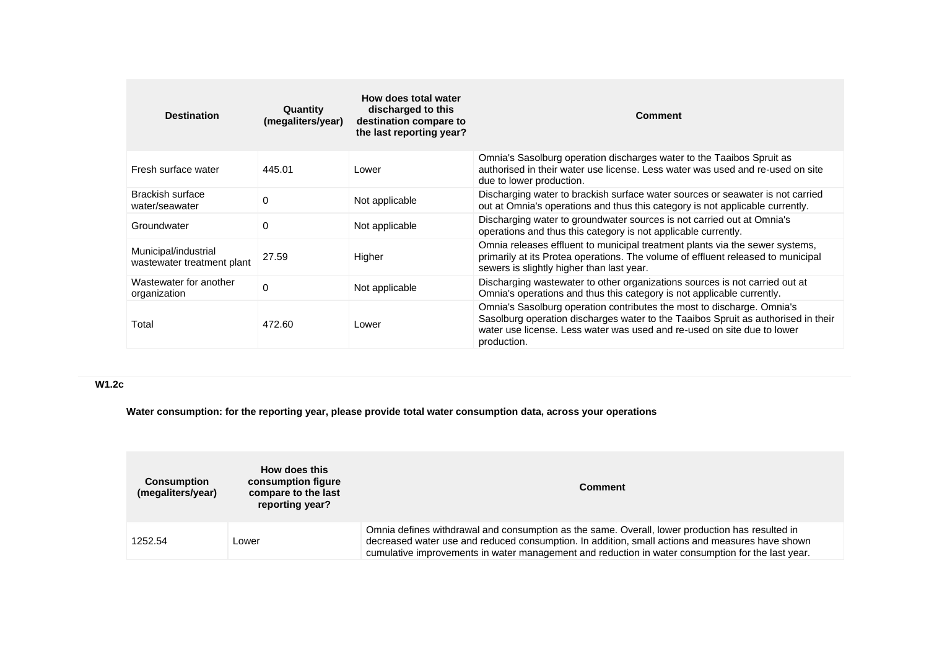| <b>Destination</b>                                 | Quantity<br>(megaliters/year) | How does total water<br>discharged to this<br>destination compare to<br>the last reporting year? | <b>Comment</b>                                                                                                                                                                                                                                        |
|----------------------------------------------------|-------------------------------|--------------------------------------------------------------------------------------------------|-------------------------------------------------------------------------------------------------------------------------------------------------------------------------------------------------------------------------------------------------------|
| Fresh surface water                                | 445.01                        | Lower                                                                                            | Omnia's Sasolburg operation discharges water to the Taaibos Spruit as<br>authorised in their water use license. Less water was used and re-used on site<br>due to lower production.                                                                   |
| Brackish surface<br>water/seawater                 | 0                             | Not applicable                                                                                   | Discharging water to brackish surface water sources or seawater is not carried<br>out at Omnia's operations and thus this category is not applicable currently.                                                                                       |
| Groundwater                                        | 0                             | Not applicable                                                                                   | Discharging water to groundwater sources is not carried out at Omnia's<br>operations and thus this category is not applicable currently.                                                                                                              |
| Municipal/industrial<br>wastewater treatment plant | 27.59                         | Higher                                                                                           | Omnia releases effluent to municipal treatment plants via the sewer systems,<br>primarily at its Protea operations. The volume of effluent released to municipal<br>sewers is slightly higher than last year.                                         |
| Wastewater for another<br>organization             | $\Omega$                      | Not applicable                                                                                   | Discharging wastewater to other organizations sources is not carried out at<br>Omnia's operations and thus this category is not applicable currently.                                                                                                 |
| Total                                              | 472.60                        | Lower                                                                                            | Omnia's Sasolburg operation contributes the most to discharge. Omnia's<br>Sasolburg operation discharges water to the Taaibos Spruit as authorised in their<br>water use license. Less water was used and re-used on site due to lower<br>production. |

# **W1.2c**

**Water consumption: for the reporting year, please provide total water consumption data, across your operations**

| <b>Consumption</b><br>(megaliters/year) | How does this<br>consumption figure<br>compare to the last<br>reporting year? | <b>Comment</b>                                                                                                                                                                                                                                                                                          |
|-----------------------------------------|-------------------------------------------------------------------------------|---------------------------------------------------------------------------------------------------------------------------------------------------------------------------------------------------------------------------------------------------------------------------------------------------------|
| 1252.54                                 | Lower                                                                         | Omnia defines withdrawal and consumption as the same. Overall, lower production has resulted in<br>decreased water use and reduced consumption. In addition, small actions and measures have shown<br>cumulative improvements in water management and reduction in water consumption for the last year. |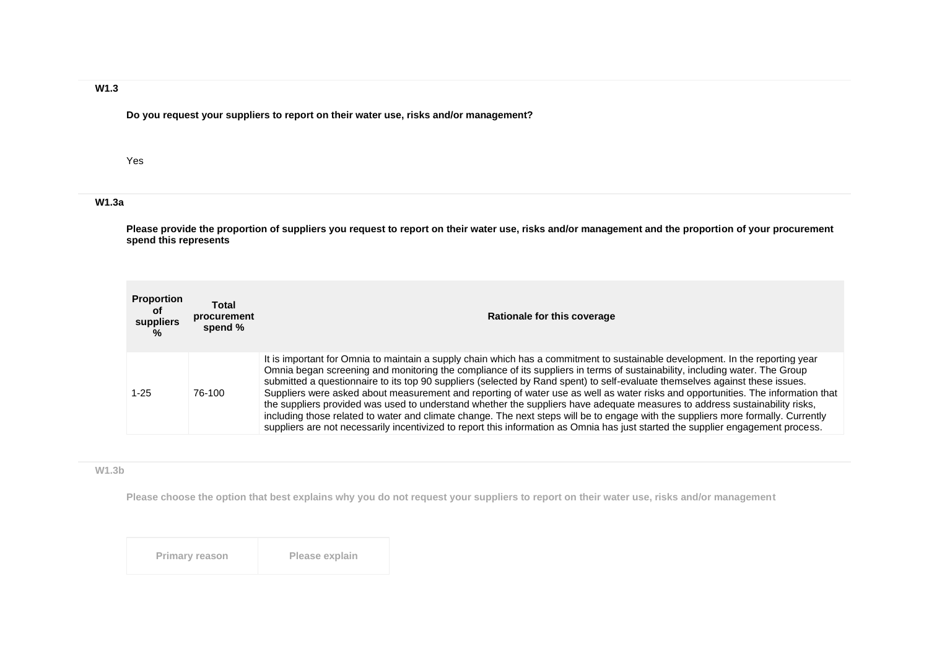## **W1.3**

**Do you request your suppliers to report on their water use, risks and/or management?**

#### Yes

# **W1.3a**

**Please provide the proportion of suppliers you request to report on their water use, risks and/or management and the proportion of your procurement spend this represents**

| <b>Proportion</b><br>of<br>suppliers<br>$\frac{9}{6}$ | Total<br>procurement<br>spend % | Rationale for this coverage                                                                                                                                                                                                                                                                                                                                                                                                                                                                                                                                                                                                                                                                                                                                                                                                                                                                                                              |
|-------------------------------------------------------|---------------------------------|------------------------------------------------------------------------------------------------------------------------------------------------------------------------------------------------------------------------------------------------------------------------------------------------------------------------------------------------------------------------------------------------------------------------------------------------------------------------------------------------------------------------------------------------------------------------------------------------------------------------------------------------------------------------------------------------------------------------------------------------------------------------------------------------------------------------------------------------------------------------------------------------------------------------------------------|
| 1-25                                                  | 76-100                          | It is important for Omnia to maintain a supply chain which has a commitment to sustainable development. In the reporting year<br>Omnia began screening and monitoring the compliance of its suppliers in terms of sustainability, including water. The Group<br>submitted a questionnaire to its top 90 suppliers (selected by Rand spent) to self-evaluate themselves against these issues.<br>Suppliers were asked about measurement and reporting of water use as well as water risks and opportunities. The information that<br>the suppliers provided was used to understand whether the suppliers have adequate measures to address sustainability risks,<br>including those related to water and climate change. The next steps will be to engage with the suppliers more formally. Currently<br>suppliers are not necessarily incentivized to report this information as Omnia has just started the supplier engagement process. |

#### **W1.3b**

**Please choose the option that best explains why you do not request your suppliers to report on their water use, risks and/or management**

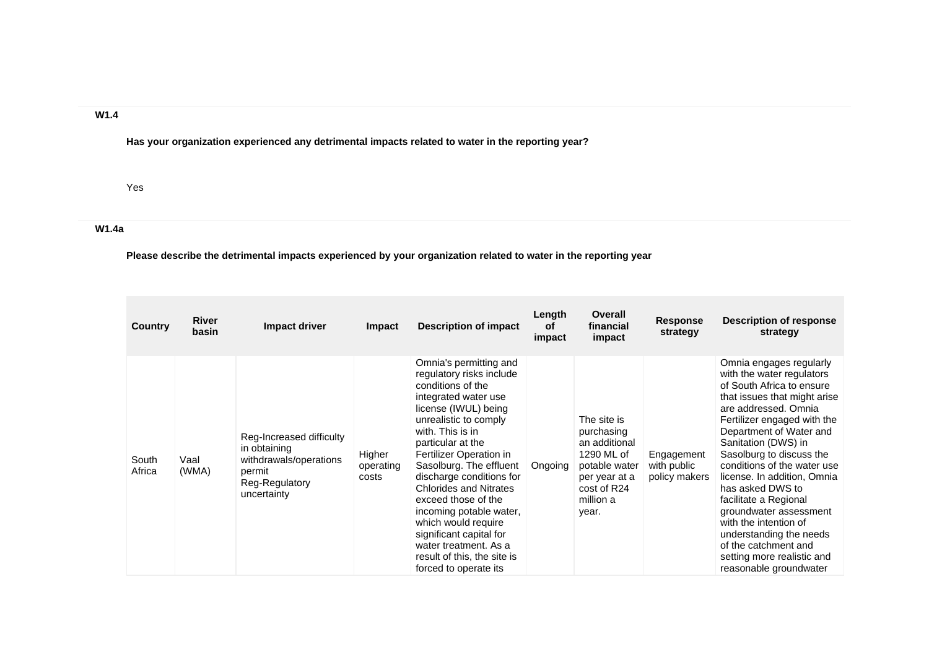### **W1.4**

**Has your organization experienced any detrimental impacts related to water in the reporting year?**

Yes

# **W1.4a**

**Please describe the detrimental impacts experienced by your organization related to water in the reporting year**

| Country         | <b>River</b><br>basin | Impact driver                                                                                                 | <b>Impact</b>                | <b>Description of impact</b>                                                                                                                                                                                                                                                                                                                                                                                                                                                                      | Length<br><b>of</b><br>impact | <b>Overall</b><br>financial<br>impact                                                                                           | <b>Response</b><br>strategy                | Description of response<br>strategy                                                                                                                                                                                                                                                                                                                                                                                                                                                                                             |
|-----------------|-----------------------|---------------------------------------------------------------------------------------------------------------|------------------------------|---------------------------------------------------------------------------------------------------------------------------------------------------------------------------------------------------------------------------------------------------------------------------------------------------------------------------------------------------------------------------------------------------------------------------------------------------------------------------------------------------|-------------------------------|---------------------------------------------------------------------------------------------------------------------------------|--------------------------------------------|---------------------------------------------------------------------------------------------------------------------------------------------------------------------------------------------------------------------------------------------------------------------------------------------------------------------------------------------------------------------------------------------------------------------------------------------------------------------------------------------------------------------------------|
| South<br>Africa | Vaal<br>(WMA)         | Reg-Increased difficulty<br>in obtaining<br>withdrawals/operations<br>permit<br>Reg-Regulatory<br>uncertainty | Higher<br>operating<br>costs | Omnia's permitting and<br>regulatory risks include<br>conditions of the<br>integrated water use<br>license (IWUL) being<br>unrealistic to comply<br>with. This is in<br>particular at the<br>Fertilizer Operation in<br>Sasolburg. The effluent<br>discharge conditions for<br><b>Chlorides and Nitrates</b><br>exceed those of the<br>incoming potable water,<br>which would require<br>significant capital for<br>water treatment. As a<br>result of this, the site is<br>forced to operate its | Ongoing                       | The site is<br>purchasing<br>an additional<br>1290 ML of<br>potable water<br>per year at a<br>cost of R24<br>million a<br>year. | Engagement<br>with public<br>policy makers | Omnia engages regularly<br>with the water regulators<br>of South Africa to ensure<br>that issues that might arise<br>are addressed. Omnia<br>Fertilizer engaged with the<br>Department of Water and<br>Sanitation (DWS) in<br>Sasolburg to discuss the<br>conditions of the water use<br>license. In addition, Omnia<br>has asked DWS to<br>facilitate a Regional<br>groundwater assessment<br>with the intention of<br>understanding the needs<br>of the catchment and<br>setting more realistic and<br>reasonable groundwater |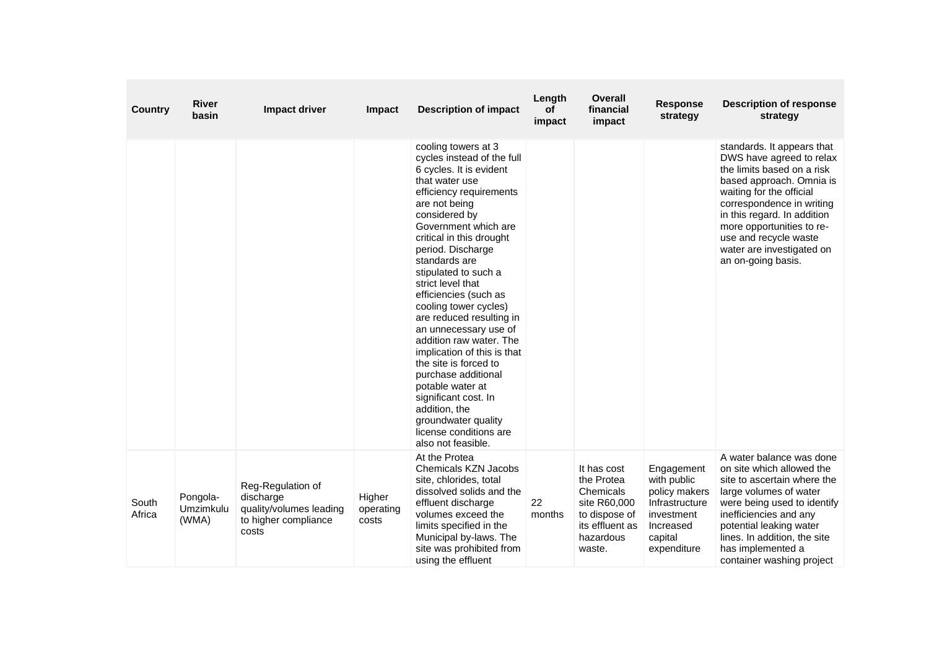| Country         | <b>River</b><br>basin          | Impact driver                                                                              | Impact                       | <b>Description of impact</b>                                                                                                                                                                                                                                                                                                                                                                                                                                                                                                                                                                                                                            | Length<br><b>of</b><br>impact | <b>Overall</b><br>financial<br>impact                                                                             | <b>Response</b><br>strategy                                                                                       | <b>Description of response</b><br>strategy                                                                                                                                                                                                                                                                        |
|-----------------|--------------------------------|--------------------------------------------------------------------------------------------|------------------------------|---------------------------------------------------------------------------------------------------------------------------------------------------------------------------------------------------------------------------------------------------------------------------------------------------------------------------------------------------------------------------------------------------------------------------------------------------------------------------------------------------------------------------------------------------------------------------------------------------------------------------------------------------------|-------------------------------|-------------------------------------------------------------------------------------------------------------------|-------------------------------------------------------------------------------------------------------------------|-------------------------------------------------------------------------------------------------------------------------------------------------------------------------------------------------------------------------------------------------------------------------------------------------------------------|
|                 |                                |                                                                                            |                              | cooling towers at 3<br>cycles instead of the full<br>6 cycles. It is evident<br>that water use<br>efficiency requirements<br>are not being<br>considered by<br>Government which are<br>critical in this drought<br>period. Discharge<br>standards are<br>stipulated to such a<br>strict level that<br>efficiencies (such as<br>cooling tower cycles)<br>are reduced resulting in<br>an unnecessary use of<br>addition raw water. The<br>implication of this is that<br>the site is forced to<br>purchase additional<br>potable water at<br>significant cost. In<br>addition, the<br>groundwater quality<br>license conditions are<br>also not feasible. |                               |                                                                                                                   |                                                                                                                   | standards. It appears that<br>DWS have agreed to relax<br>the limits based on a risk<br>based approach. Omnia is<br>waiting for the official<br>correspondence in writing<br>in this regard. In addition<br>more opportunities to re-<br>use and recycle waste<br>water are investigated on<br>an on-going basis. |
| South<br>Africa | Pongola-<br>Umzimkulu<br>(WMA) | Reg-Regulation of<br>discharge<br>quality/volumes leading<br>to higher compliance<br>costs | Higher<br>operating<br>costs | At the Protea<br><b>Chemicals KZN Jacobs</b><br>site, chlorides, total<br>dissolved solids and the<br>effluent discharge<br>volumes exceed the<br>limits specified in the<br>Municipal by-laws. The<br>site was prohibited from<br>using the effluent                                                                                                                                                                                                                                                                                                                                                                                                   | 22<br>months                  | It has cost<br>the Protea<br>Chemicals<br>site R60,000<br>to dispose of<br>its effluent as<br>hazardous<br>waste. | Engagement<br>with public<br>policy makers<br>Infrastructure<br>investment<br>Increased<br>capital<br>expenditure | A water balance was done<br>on site which allowed the<br>site to ascertain where the<br>large volumes of water<br>were being used to identify<br>inefficiencies and any<br>potential leaking water<br>lines. In addition, the site<br>has implemented a<br>container washing project                              |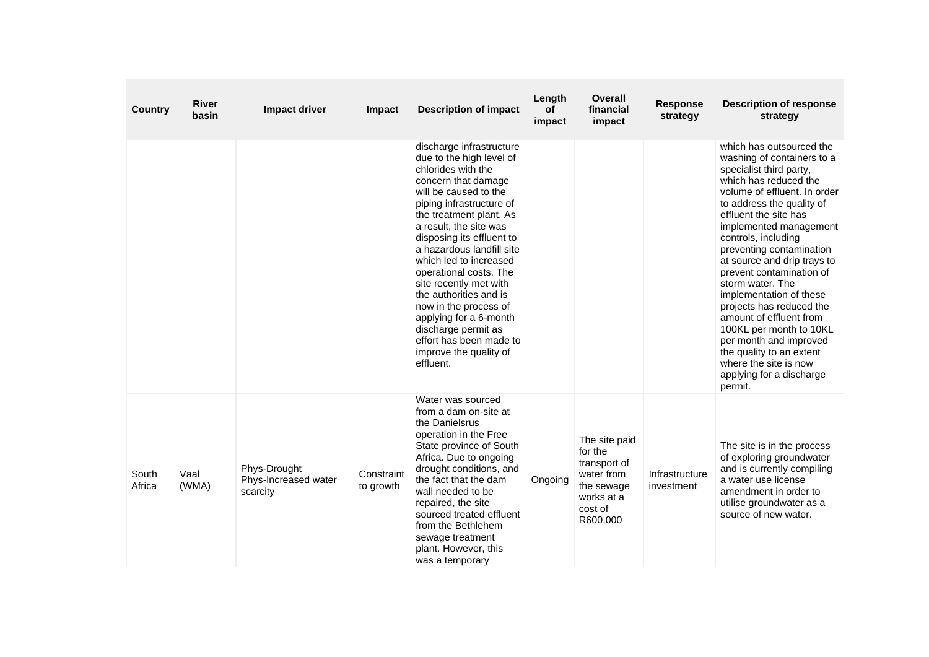| Country         | <b>River</b><br>basin | <b>Impact driver</b>                             | Impact                  | <b>Description of impact</b>                                                                                                                                                                                                                                                                                                                                                                                                                                                                                              | Length<br>of<br>impact | <b>Overall</b><br>financial<br>impact                                                                     | <b>Response</b><br>strategy  | <b>Description of response</b><br>strategy                                                                                                                                                                                                                                                                                                                                                                                                                                                                                                                                                      |
|-----------------|-----------------------|--------------------------------------------------|-------------------------|---------------------------------------------------------------------------------------------------------------------------------------------------------------------------------------------------------------------------------------------------------------------------------------------------------------------------------------------------------------------------------------------------------------------------------------------------------------------------------------------------------------------------|------------------------|-----------------------------------------------------------------------------------------------------------|------------------------------|-------------------------------------------------------------------------------------------------------------------------------------------------------------------------------------------------------------------------------------------------------------------------------------------------------------------------------------------------------------------------------------------------------------------------------------------------------------------------------------------------------------------------------------------------------------------------------------------------|
|                 |                       |                                                  |                         | discharge infrastructure<br>due to the high level of<br>chlorides with the<br>concern that damage<br>will be caused to the<br>piping infrastructure of<br>the treatment plant. As<br>a result, the site was<br>disposing its effluent to<br>a hazardous landfill site<br>which led to increased<br>operational costs. The<br>site recently met with<br>the authorities and is<br>now in the process of<br>applying for a 6-month<br>discharge permit as<br>effort has been made to<br>improve the quality of<br>effluent. |                        |                                                                                                           |                              | which has outsourced the<br>washing of containers to a<br>specialist third party,<br>which has reduced the<br>volume of effluent. In order<br>to address the quality of<br>effluent the site has<br>implemented management<br>controls, including<br>preventing contamination<br>at source and drip trays to<br>prevent contamination of<br>storm water. The<br>implementation of these<br>projects has reduced the<br>amount of effluent from<br>100KL per month to 10KL<br>per month and improved<br>the quality to an extent<br>where the site is now<br>applying for a discharge<br>permit. |
| South<br>Africa | Vaal<br>(WMA)         | Phys-Drought<br>Phys-Increased water<br>scarcity | Constraint<br>to growth | Water was sourced<br>from a dam on-site at<br>the Danielsrus<br>operation in the Free<br>State province of South<br>Africa. Due to ongoing<br>drought conditions, and<br>the fact that the dam<br>wall needed to be<br>repaired, the site<br>sourced treated effluent<br>from the Bethlehem<br>sewage treatment<br>plant. However, this<br>was a temporary                                                                                                                                                                | Ongoing                | The site paid<br>for the<br>transport of<br>water from<br>the sewage<br>works at a<br>cost of<br>R600,000 | Infrastructure<br>investment | The site is in the process<br>of exploring groundwater<br>and is currently compiling<br>a water use license<br>amendment in order to<br>utilise groundwater as a<br>source of new water.                                                                                                                                                                                                                                                                                                                                                                                                        |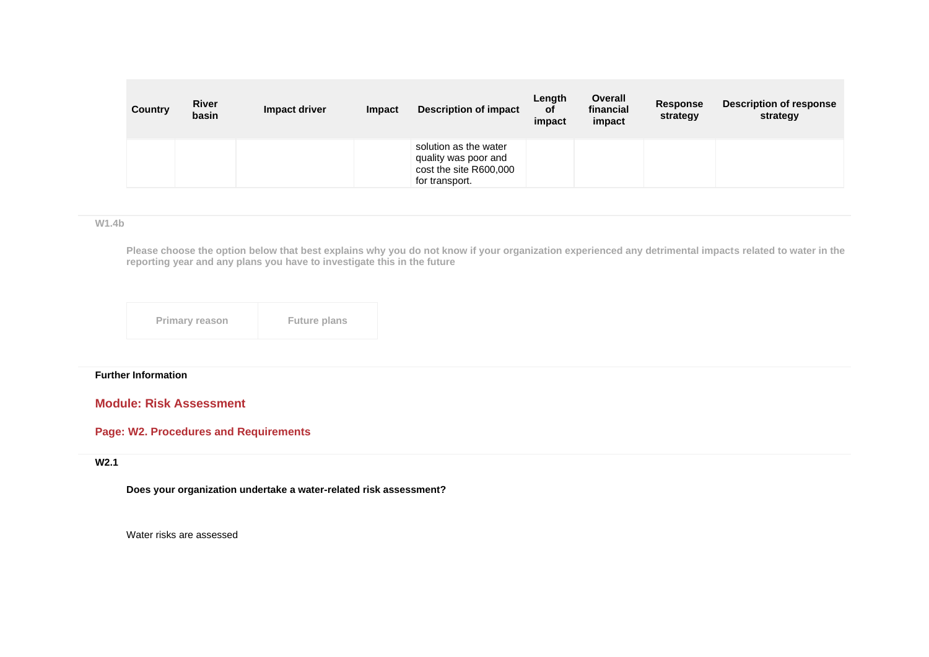| <b>Country</b> | <b>River</b><br>basin | Impact driver | Impact | <b>Description of impact</b>                                                              | Length<br><b>of</b><br>impact | Overall<br>financial<br>impact | <b>Response</b><br>strategy | <b>Description of response</b><br>strategy |
|----------------|-----------------------|---------------|--------|-------------------------------------------------------------------------------------------|-------------------------------|--------------------------------|-----------------------------|--------------------------------------------|
|                |                       |               |        | solution as the water<br>quality was poor and<br>cost the site R600,000<br>for transport. |                               |                                |                             |                                            |

**W1.4b**

**Please choose the option below that best explains why you do not know if your organization experienced any detrimental impacts related to water in the reporting year and any plans you have to investigate this in the future**

| <b>Primary reason</b> | <b>Future plans</b> |
|-----------------------|---------------------|
|-----------------------|---------------------|

# **Further Information**

# **Module: Risk Assessment**

# **Page: W2. Procedures and Requirements**

#### **W2.1**

**Does your organization undertake a water-related risk assessment?**

Water risks are assessed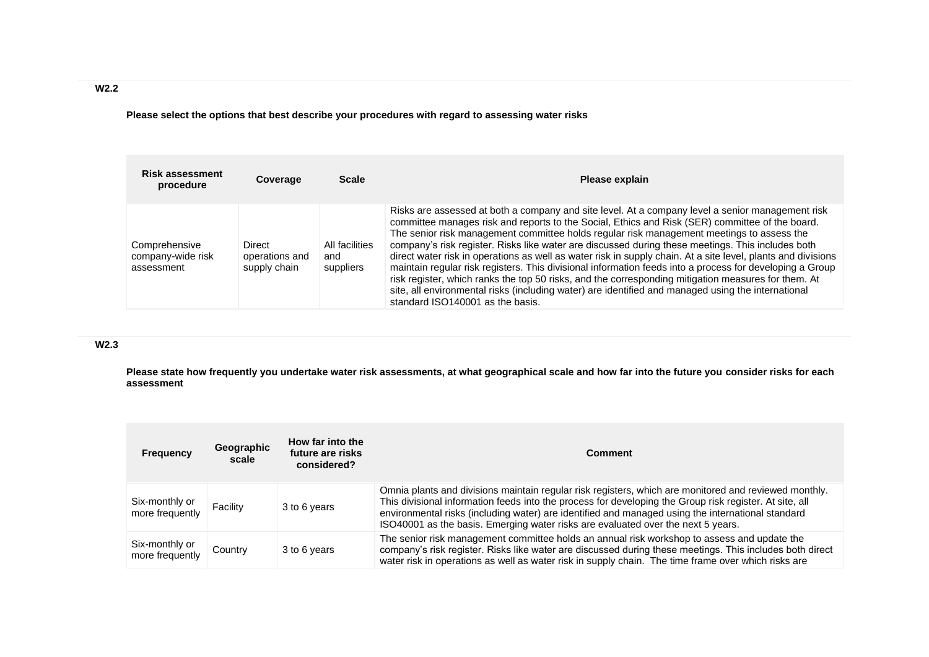**Please select the options that best describe your procedures with regard to assessing water risks**

| <b>Risk assessment</b><br>procedure              | Coverage                                 | <b>Scale</b>                       | Please explain                                                                                                                                                                                                                                                                                                                                                                                                                                                                                                                                                                                                                                                                                                                                                                                                                                                                     |
|--------------------------------------------------|------------------------------------------|------------------------------------|------------------------------------------------------------------------------------------------------------------------------------------------------------------------------------------------------------------------------------------------------------------------------------------------------------------------------------------------------------------------------------------------------------------------------------------------------------------------------------------------------------------------------------------------------------------------------------------------------------------------------------------------------------------------------------------------------------------------------------------------------------------------------------------------------------------------------------------------------------------------------------|
| Comprehensive<br>company-wide risk<br>assessment | Direct<br>operations and<br>supply chain | All facilities<br>and<br>suppliers | Risks are assessed at both a company and site level. At a company level a senior management risk<br>committee manages risk and reports to the Social, Ethics and Risk (SER) committee of the board.<br>The senior risk management committee holds regular risk management meetings to assess the<br>company's risk register. Risks like water are discussed during these meetings. This includes both<br>direct water risk in operations as well as water risk in supply chain. At a site level, plants and divisions<br>maintain regular risk registers. This divisional information feeds into a process for developing a Group<br>risk register, which ranks the top 50 risks, and the corresponding mitigation measures for them. At<br>site, all environmental risks (including water) are identified and managed using the international<br>standard ISO140001 as the basis. |

# **W2.3**

**Please state how frequently you undertake water risk assessments, at what geographical scale and how far into the future you consider risks for each assessment**

| <b>Frequency</b>                  | Geographic<br>scale | How far into the<br>future are risks<br>considered? | <b>Comment</b>                                                                                                                                                                                                                                                                                                                                                                                            |
|-----------------------------------|---------------------|-----------------------------------------------------|-----------------------------------------------------------------------------------------------------------------------------------------------------------------------------------------------------------------------------------------------------------------------------------------------------------------------------------------------------------------------------------------------------------|
| Six-monthly or<br>more frequently | Facility            | 3 to 6 years                                        | Omnia plants and divisions maintain regular risk registers, which are monitored and reviewed monthly.<br>This divisional information feeds into the process for developing the Group risk register. At site, all<br>environmental risks (including water) are identified and managed using the international standard<br>ISO40001 as the basis. Emerging water risks are evaluated over the next 5 years. |
| Six-monthly or<br>more frequently | Country             | 3 to 6 years                                        | The senior risk management committee holds an annual risk workshop to assess and update the<br>company's risk register. Risks like water are discussed during these meetings. This includes both direct<br>water risk in operations as well as water risk in supply chain. The time frame over which risks are                                                                                            |

**W2.2**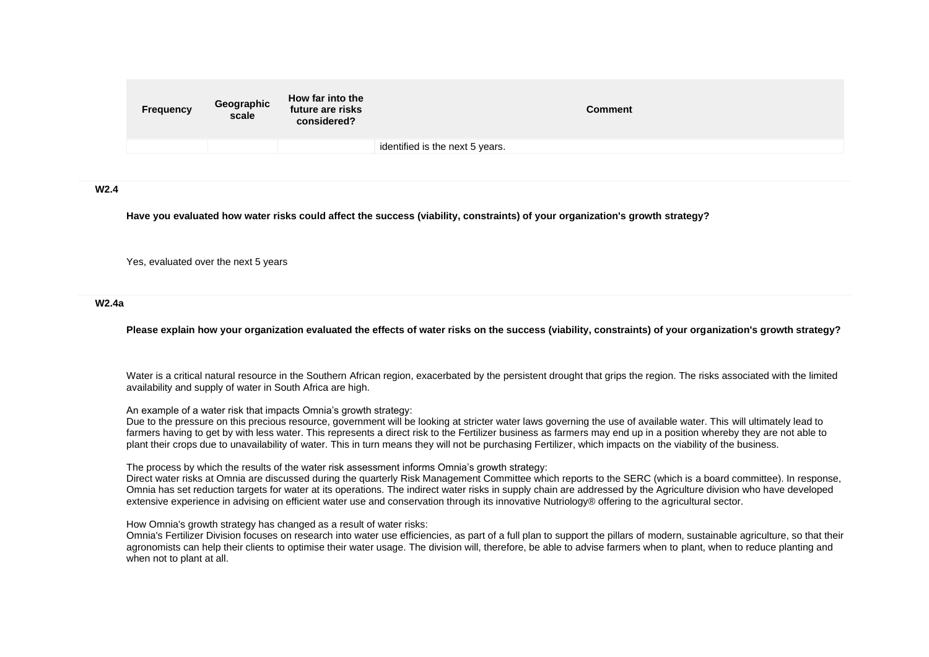| <b>Frequency</b> | Geographic<br>scale | How far into the<br>future are risks<br>considered? | Comment                         |
|------------------|---------------------|-----------------------------------------------------|---------------------------------|
|                  |                     |                                                     | identified is the next 5 years. |
|                  |                     |                                                     |                                 |

**W2.4**

**Have you evaluated how water risks could affect the success (viability, constraints) of your organization's growth strategy?**

Yes, evaluated over the next 5 years

#### **W2.4a**

**Please explain how your organization evaluated the effects of water risks on the success (viability, constraints) of your organization's growth strategy?**

Water is a critical natural resource in the Southern African region, exacerbated by the persistent drought that grips the region. The risks associated with the limited availability and supply of water in South Africa are high.

An example of a water risk that impacts Omnia's growth strategy:

Due to the pressure on this precious resource, government will be looking at stricter water laws governing the use of available water. This will ultimately lead to farmers having to get by with less water. This represents a direct risk to the Fertilizer business as farmers may end up in a position whereby they are not able to plant their crops due to unavailability of water. This in turn means they will not be purchasing Fertilizer, which impacts on the viability of the business.

The process by which the results of the water risk assessment informs Omnia's growth strategy:

Direct water risks at Omnia are discussed during the quarterly Risk Management Committee which reports to the SERC (which is a board committee). In response, Omnia has set reduction targets for water at its operations. The indirect water risks in supply chain are addressed by the Agriculture division who have developed extensive experience in advising on efficient water use and conservation through its innovative Nutriology® offering to the agricultural sector.

How Omnia's growth strategy has changed as a result of water risks:

Omnia's Fertilizer Division focuses on research into water use efficiencies, as part of a full plan to support the pillars of modern, sustainable agriculture, so that their agronomists can help their clients to optimise their water usage. The division will, therefore, be able to advise farmers when to plant, when to reduce planting and when not to plant at all.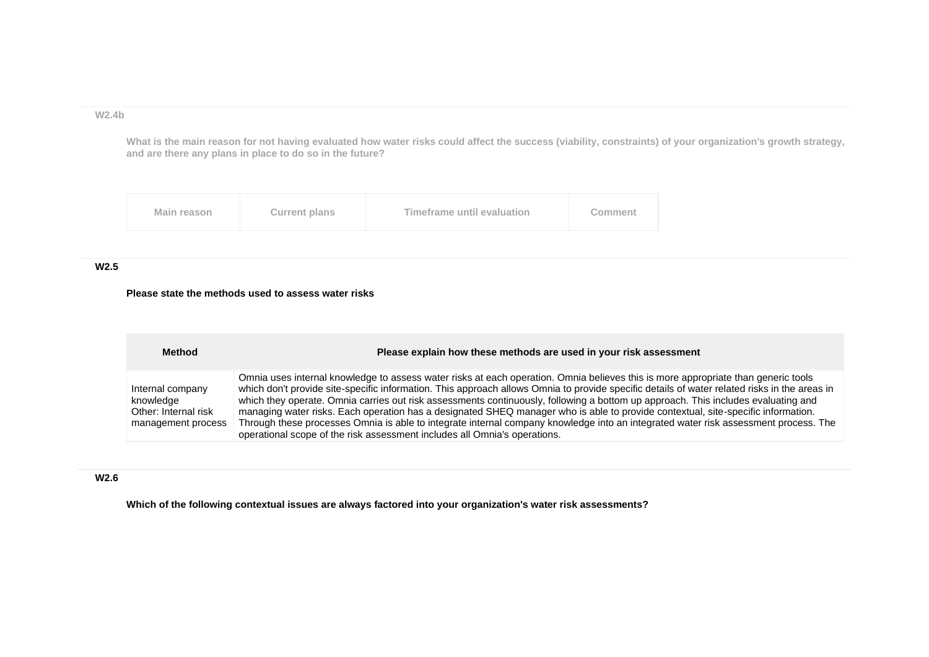#### **W2.4b**

**What is the main reason for not having evaluated how water risks could affect the success (viability, constraints) of your organization's growth strategy, and are there any plans in place to do so in the future?**



## **W2.5**

#### **Please state the methods used to assess water risks**

| <b>Method</b>                                                               | Please explain how these methods are used in your risk assessment                                                                                                                                                                                                                                                                                                                                                                                                                                                                                                                                                                                                                                                                                                              |
|-----------------------------------------------------------------------------|--------------------------------------------------------------------------------------------------------------------------------------------------------------------------------------------------------------------------------------------------------------------------------------------------------------------------------------------------------------------------------------------------------------------------------------------------------------------------------------------------------------------------------------------------------------------------------------------------------------------------------------------------------------------------------------------------------------------------------------------------------------------------------|
| Internal company<br>knowledge<br>Other: Internal risk<br>management process | Omnia uses internal knowledge to assess water risks at each operation. Omnia believes this is more appropriate than generic tools<br>which don't provide site-specific information. This approach allows Omnia to provide specific details of water related risks in the areas in<br>which they operate. Omnia carries out risk assessments continuously, following a bottom up approach. This includes evaluating and<br>managing water risks. Each operation has a designated SHEQ manager who is able to provide contextual, site-specific information.<br>Through these processes Omnia is able to integrate internal company knowledge into an integrated water risk assessment process. The<br>operational scope of the risk assessment includes all Omnia's operations. |

### **W2.6**

**Which of the following contextual issues are always factored into your organization's water risk assessments?**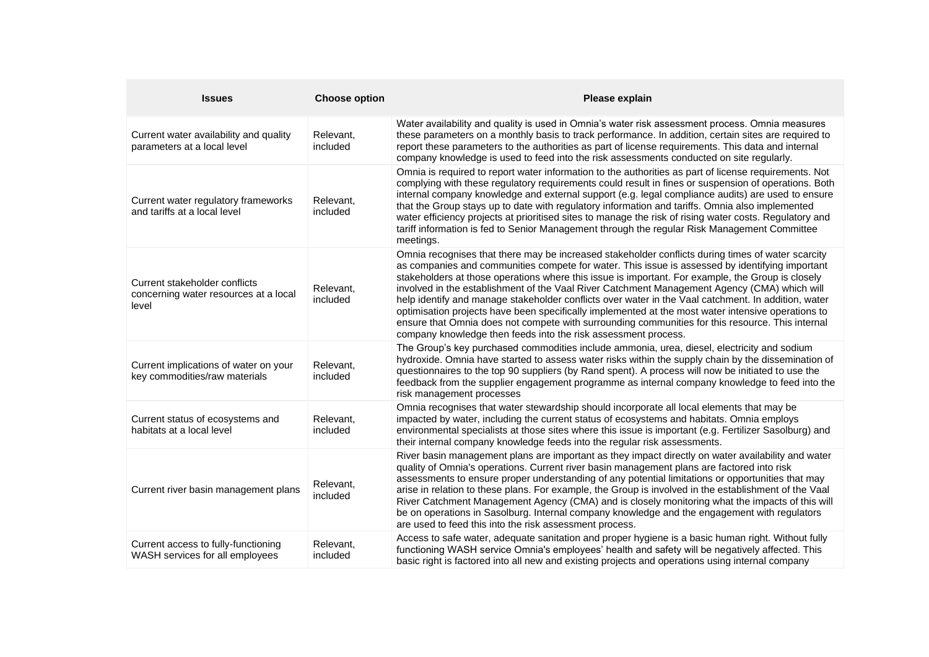| <b>Issues</b>                                                                   | <b>Choose option</b>  | Please explain                                                                                                                                                                                                                                                                                                                                                                                                                                                                                                                                                                                                                                                                                                                                                                               |
|---------------------------------------------------------------------------------|-----------------------|----------------------------------------------------------------------------------------------------------------------------------------------------------------------------------------------------------------------------------------------------------------------------------------------------------------------------------------------------------------------------------------------------------------------------------------------------------------------------------------------------------------------------------------------------------------------------------------------------------------------------------------------------------------------------------------------------------------------------------------------------------------------------------------------|
| Current water availability and quality<br>parameters at a local level           | Relevant,<br>included | Water availability and quality is used in Omnia's water risk assessment process. Omnia measures<br>these parameters on a monthly basis to track performance. In addition, certain sites are required to<br>report these parameters to the authorities as part of license requirements. This data and internal<br>company knowledge is used to feed into the risk assessments conducted on site regularly.                                                                                                                                                                                                                                                                                                                                                                                    |
| Current water regulatory frameworks<br>and tariffs at a local level             | Relevant,<br>included | Omnia is required to report water information to the authorities as part of license requirements. Not<br>complying with these regulatory requirements could result in fines or suspension of operations. Both<br>internal company knowledge and external support (e.g. legal compliance audits) are used to ensure<br>that the Group stays up to date with regulatory information and tariffs. Omnia also implemented<br>water efficiency projects at prioritised sites to manage the risk of rising water costs. Regulatory and<br>tariff information is fed to Senior Management through the regular Risk Management Committee<br>meetings.                                                                                                                                                |
| Current stakeholder conflicts<br>concerning water resources at a local<br>level | Relevant,<br>included | Omnia recognises that there may be increased stakeholder conflicts during times of water scarcity<br>as companies and communities compete for water. This issue is assessed by identifying important<br>stakeholders at those operations where this issue is important. For example, the Group is closely<br>involved in the establishment of the Vaal River Catchment Management Agency (CMA) which will<br>help identify and manage stakeholder conflicts over water in the Vaal catchment. In addition, water<br>optimisation projects have been specifically implemented at the most water intensive operations to<br>ensure that Omnia does not compete with surrounding communities for this resource. This internal<br>company knowledge then feeds into the risk assessment process. |
| Current implications of water on your<br>key commodities/raw materials          | Relevant,<br>included | The Group's key purchased commodities include ammonia, urea, diesel, electricity and sodium<br>hydroxide. Omnia have started to assess water risks within the supply chain by the dissemination of<br>questionnaires to the top 90 suppliers (by Rand spent). A process will now be initiated to use the<br>feedback from the supplier engagement programme as internal company knowledge to feed into the<br>risk management processes                                                                                                                                                                                                                                                                                                                                                      |
| Current status of ecosystems and<br>habitats at a local level                   | Relevant,<br>included | Omnia recognises that water stewardship should incorporate all local elements that may be<br>impacted by water, including the current status of ecosystems and habitats. Omnia employs<br>environmental specialists at those sites where this issue is important (e.g. Fertilizer Sasolburg) and<br>their internal company knowledge feeds into the regular risk assessments.                                                                                                                                                                                                                                                                                                                                                                                                                |
| Current river basin management plans                                            | Relevant,<br>included | River basin management plans are important as they impact directly on water availability and water<br>quality of Omnia's operations. Current river basin management plans are factored into risk<br>assessments to ensure proper understanding of any potential limitations or opportunities that may<br>arise in relation to these plans. For example, the Group is involved in the establishment of the Vaal<br>River Catchment Management Agency (CMA) and is closely monitoring what the impacts of this will<br>be on operations in Sasolburg. Internal company knowledge and the engagement with regulators<br>are used to feed this into the risk assessment process.                                                                                                                 |
| Current access to fully-functioning<br>WASH services for all employees          | Relevant,<br>included | Access to safe water, adequate sanitation and proper hygiene is a basic human right. Without fully<br>functioning WASH service Omnia's employees' health and safety will be negatively affected. This<br>basic right is factored into all new and existing projects and operations using internal company                                                                                                                                                                                                                                                                                                                                                                                                                                                                                    |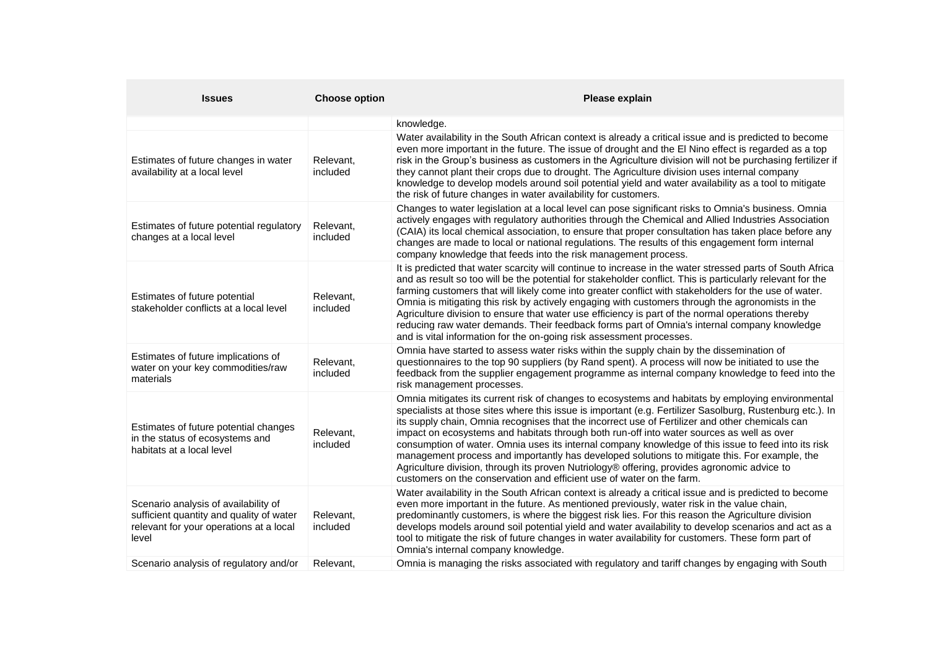| <b>Issues</b>                                                                                                                        | <b>Choose option</b>  | Please explain                                                                                                                                                                                                                                                                                                                                                                                                                                                                                                                                                                                                                                                                                                                                                                                 |
|--------------------------------------------------------------------------------------------------------------------------------------|-----------------------|------------------------------------------------------------------------------------------------------------------------------------------------------------------------------------------------------------------------------------------------------------------------------------------------------------------------------------------------------------------------------------------------------------------------------------------------------------------------------------------------------------------------------------------------------------------------------------------------------------------------------------------------------------------------------------------------------------------------------------------------------------------------------------------------|
|                                                                                                                                      |                       | knowledge.                                                                                                                                                                                                                                                                                                                                                                                                                                                                                                                                                                                                                                                                                                                                                                                     |
| Estimates of future changes in water<br>availability at a local level                                                                | Relevant,<br>included | Water availability in the South African context is already a critical issue and is predicted to become<br>even more important in the future. The issue of drought and the El Nino effect is regarded as a top<br>risk in the Group's business as customers in the Agriculture division will not be purchasing fertilizer if<br>they cannot plant their crops due to drought. The Agriculture division uses internal company<br>knowledge to develop models around soil potential yield and water availability as a tool to mitigate<br>the risk of future changes in water availability for customers.                                                                                                                                                                                         |
| Estimates of future potential regulatory<br>changes at a local level                                                                 | Relevant,<br>included | Changes to water legislation at a local level can pose significant risks to Omnia's business. Omnia<br>actively engages with regulatory authorities through the Chemical and Allied Industries Association<br>(CAIA) its local chemical association, to ensure that proper consultation has taken place before any<br>changes are made to local or national regulations. The results of this engagement form internal<br>company knowledge that feeds into the risk management process.                                                                                                                                                                                                                                                                                                        |
| Estimates of future potential<br>stakeholder conflicts at a local level                                                              | Relevant,<br>included | It is predicted that water scarcity will continue to increase in the water stressed parts of South Africa<br>and as result so too will be the potential for stakeholder conflict. This is particularly relevant for the<br>farming customers that will likely come into greater conflict with stakeholders for the use of water.<br>Omnia is mitigating this risk by actively engaging with customers through the agronomists in the<br>Agriculture division to ensure that water use efficiency is part of the normal operations thereby<br>reducing raw water demands. Their feedback forms part of Omnia's internal company knowledge<br>and is vital information for the on-going risk assessment processes.                                                                               |
| Estimates of future implications of<br>water on your key commodities/raw<br>materials                                                | Relevant,<br>included | Omnia have started to assess water risks within the supply chain by the dissemination of<br>questionnaires to the top 90 suppliers (by Rand spent). A process will now be initiated to use the<br>feedback from the supplier engagement programme as internal company knowledge to feed into the<br>risk management processes.                                                                                                                                                                                                                                                                                                                                                                                                                                                                 |
| Estimates of future potential changes<br>in the status of ecosystems and<br>habitats at a local level                                | Relevant,<br>included | Omnia mitigates its current risk of changes to ecosystems and habitats by employing environmental<br>specialists at those sites where this issue is important (e.g. Fertilizer Sasolburg, Rustenburg etc.). In<br>its supply chain, Omnia recognises that the incorrect use of Fertilizer and other chemicals can<br>impact on ecosystems and habitats through both run-off into water sources as well as over<br>consumption of water. Omnia uses its internal company knowledge of this issue to feed into its risk<br>management process and importantly has developed solutions to mitigate this. For example, the<br>Agriculture division, through its proven Nutriology® offering, provides agronomic advice to<br>customers on the conservation and efficient use of water on the farm. |
| Scenario analysis of availability of<br>sufficient quantity and quality of water<br>relevant for your operations at a local<br>level | Relevant,<br>included | Water availability in the South African context is already a critical issue and is predicted to become<br>even more important in the future. As mentioned previously, water risk in the value chain,<br>predominantly customers, is where the biggest risk lies. For this reason the Agriculture division<br>develops models around soil potential yield and water availability to develop scenarios and act as a<br>tool to mitigate the risk of future changes in water availability for customers. These form part of<br>Omnia's internal company knowledge.                                                                                                                                                                                                                                |
| Scenario analysis of regulatory and/or                                                                                               | Relevant,             | Omnia is managing the risks associated with regulatory and tariff changes by engaging with South                                                                                                                                                                                                                                                                                                                                                                                                                                                                                                                                                                                                                                                                                               |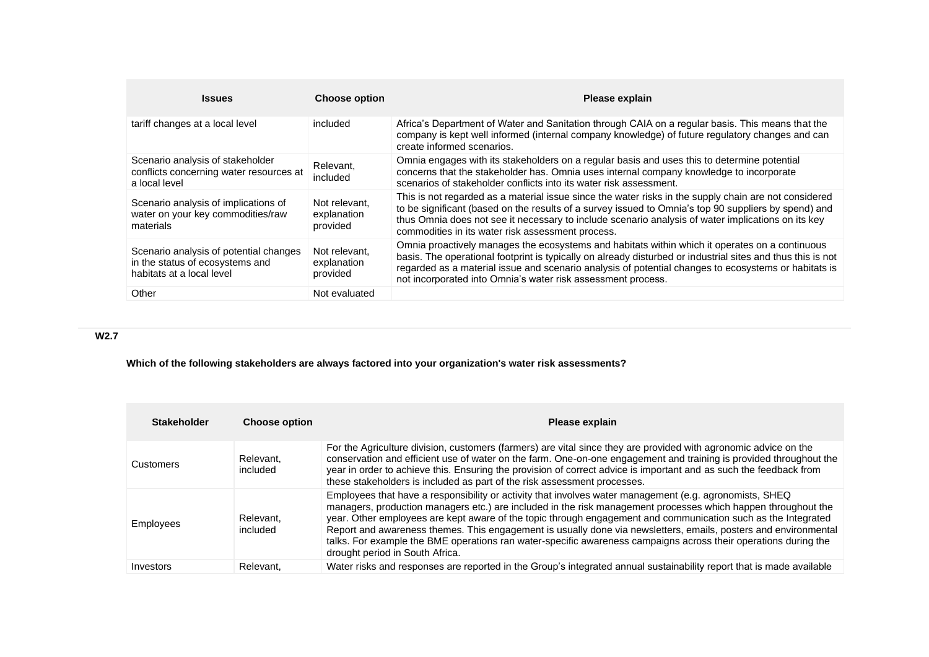| <b>Issues</b>                                                                                          | <b>Choose option</b>                     | Please explain                                                                                                                                                                                                                                                                                                                                                                        |
|--------------------------------------------------------------------------------------------------------|------------------------------------------|---------------------------------------------------------------------------------------------------------------------------------------------------------------------------------------------------------------------------------------------------------------------------------------------------------------------------------------------------------------------------------------|
| tariff changes at a local level                                                                        | included                                 | Africa's Department of Water and Sanitation through CAIA on a regular basis. This means that the<br>company is kept well informed (internal company knowledge) of future regulatory changes and can<br>create informed scenarios.                                                                                                                                                     |
| Scenario analysis of stakeholder<br>conflicts concerning water resources at<br>a local level           | Relevant,<br>included                    | Omnia engages with its stakeholders on a regular basis and uses this to determine potential<br>concerns that the stakeholder has. Omnia uses internal company knowledge to incorporate<br>scenarios of stakeholder conflicts into its water risk assessment.                                                                                                                          |
| Scenario analysis of implications of<br>water on your key commodities/raw<br>materials                 | Not relevant.<br>explanation<br>provided | This is not regarded as a material issue since the water risks in the supply chain are not considered<br>to be significant (based on the results of a survey issued to Omnia's top 90 suppliers by spend) and<br>thus Omnia does not see it necessary to include scenario analysis of water implications on its key<br>commodities in its water risk assessment process.              |
| Scenario analysis of potential changes<br>in the status of ecosystems and<br>habitats at a local level | Not relevant.<br>explanation<br>provided | Omnia proactively manages the ecosystems and habitats within which it operates on a continuous<br>basis. The operational footprint is typically on already disturbed or industrial sites and thus this is not<br>regarded as a material issue and scenario analysis of potential changes to ecosystems or habitats is<br>not incorporated into Omnia's water risk assessment process. |
| Other                                                                                                  | Not evaluated                            |                                                                                                                                                                                                                                                                                                                                                                                       |

# **W2.7**

# **Which of the following stakeholders are always factored into your organization's water risk assessments?**

| <b>Stakeholder</b> | <b>Choose option</b>  | Please explain                                                                                                                                                                                                                                                                                                                                                                                                                                                                                                                                                                                                     |
|--------------------|-----------------------|--------------------------------------------------------------------------------------------------------------------------------------------------------------------------------------------------------------------------------------------------------------------------------------------------------------------------------------------------------------------------------------------------------------------------------------------------------------------------------------------------------------------------------------------------------------------------------------------------------------------|
| Customers          | Relevant.<br>included | For the Agriculture division, customers (farmers) are vital since they are provided with agronomic advice on the<br>conservation and efficient use of water on the farm. One-on-one engagement and training is provided throughout the<br>year in order to achieve this. Ensuring the provision of correct advice is important and as such the feedback from<br>these stakeholders is included as part of the risk assessment processes.                                                                                                                                                                           |
| Employees          | Relevant.<br>included | Employees that have a responsibility or activity that involves water management (e.g. agronomists, SHEQ<br>managers, production managers etc.) are included in the risk management processes which happen throughout the<br>year. Other employees are kept aware of the topic through engagement and communication such as the Integrated<br>Report and awareness themes. This engagement is usually done via newsletters, emails, posters and environmental<br>talks. For example the BME operations ran water-specific awareness campaigns across their operations during the<br>drought period in South Africa. |
| Investors          | Relevant.             | Water risks and responses are reported in the Group's integrated annual sustainability report that is made available                                                                                                                                                                                                                                                                                                                                                                                                                                                                                               |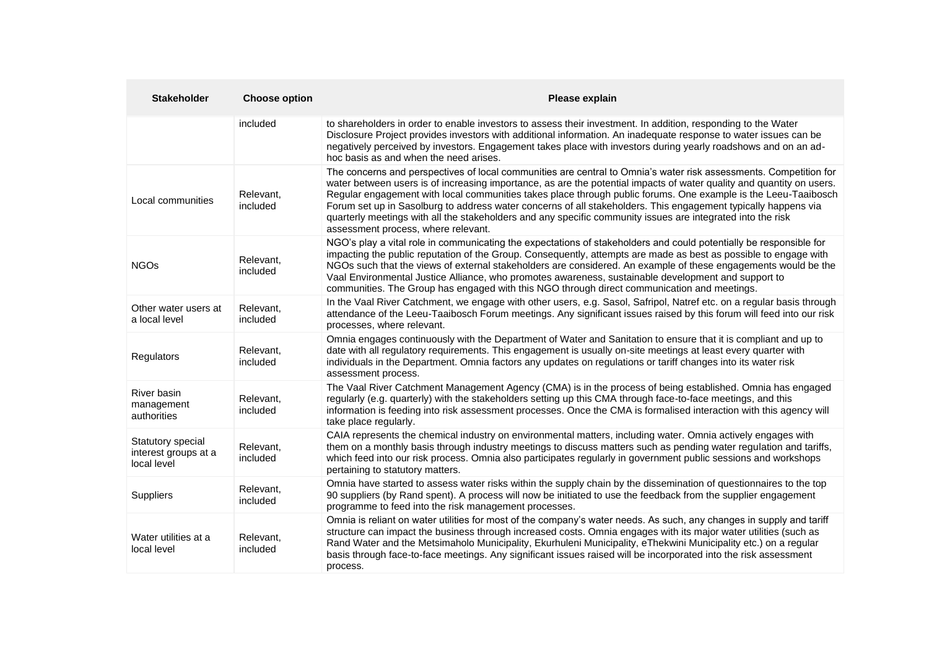| <b>Stakeholder</b>                                       | <b>Choose option</b>  | Please explain                                                                                                                                                                                                                                                                                                                                                                                                                                                                                                                                                                                                                       |
|----------------------------------------------------------|-----------------------|--------------------------------------------------------------------------------------------------------------------------------------------------------------------------------------------------------------------------------------------------------------------------------------------------------------------------------------------------------------------------------------------------------------------------------------------------------------------------------------------------------------------------------------------------------------------------------------------------------------------------------------|
|                                                          | included              | to shareholders in order to enable investors to assess their investment. In addition, responding to the Water<br>Disclosure Project provides investors with additional information. An inadequate response to water issues can be<br>negatively perceived by investors. Engagement takes place with investors during yearly roadshows and on an ad-<br>hoc basis as and when the need arises.                                                                                                                                                                                                                                        |
| Local communities                                        | Relevant,<br>included | The concerns and perspectives of local communities are central to Omnia's water risk assessments. Competition for<br>water between users is of increasing importance, as are the potential impacts of water quality and quantity on users.<br>Regular engagement with local communities takes place through public forums. One example is the Leeu-Taaibosch<br>Forum set up in Sasolburg to address water concerns of all stakeholders. This engagement typically happens via<br>quarterly meetings with all the stakeholders and any specific community issues are integrated into the risk<br>assessment process, where relevant. |
| <b>NGOs</b>                                              | Relevant,<br>included | NGO's play a vital role in communicating the expectations of stakeholders and could potentially be responsible for<br>impacting the public reputation of the Group. Consequently, attempts are made as best as possible to engage with<br>NGOs such that the views of external stakeholders are considered. An example of these engagements would be the<br>Vaal Environmental Justice Alliance, who promotes awareness, sustainable development and support to<br>communities. The Group has engaged with this NGO through direct communication and meetings.                                                                       |
| Other water users at<br>a local level                    | Relevant,<br>included | In the Vaal River Catchment, we engage with other users, e.g. Sasol, Safripol, Natref etc. on a regular basis through<br>attendance of the Leeu-Taaibosch Forum meetings. Any significant issues raised by this forum will feed into our risk<br>processes, where relevant.                                                                                                                                                                                                                                                                                                                                                          |
| Regulators                                               | Relevant,<br>included | Omnia engages continuously with the Department of Water and Sanitation to ensure that it is compliant and up to<br>date with all regulatory requirements. This engagement is usually on-site meetings at least every quarter with<br>individuals in the Department. Omnia factors any updates on regulations or tariff changes into its water risk<br>assessment process.                                                                                                                                                                                                                                                            |
| River basin<br>management<br>authorities                 | Relevant,<br>included | The Vaal River Catchment Management Agency (CMA) is in the process of being established. Omnia has engaged<br>regularly (e.g. quarterly) with the stakeholders setting up this CMA through face-to-face meetings, and this<br>information is feeding into risk assessment processes. Once the CMA is formalised interaction with this agency will<br>take place regularly.                                                                                                                                                                                                                                                           |
| Statutory special<br>interest groups at a<br>local level | Relevant,<br>included | CAIA represents the chemical industry on environmental matters, including water. Omnia actively engages with<br>them on a monthly basis through industry meetings to discuss matters such as pending water regulation and tariffs,<br>which feed into our risk process. Omnia also participates regularly in government public sessions and workshops<br>pertaining to statutory matters.                                                                                                                                                                                                                                            |
| Suppliers                                                | Relevant,<br>included | Omnia have started to assess water risks within the supply chain by the dissemination of questionnaires to the top<br>90 suppliers (by Rand spent). A process will now be initiated to use the feedback from the supplier engagement<br>programme to feed into the risk management processes.                                                                                                                                                                                                                                                                                                                                        |
| Water utilities at a<br>local level                      | Relevant,<br>included | Omnia is reliant on water utilities for most of the company's water needs. As such, any changes in supply and tariff<br>structure can impact the business through increased costs. Omnia engages with its major water utilities (such as<br>Rand Water and the Metsimaholo Municipality, Ekurhuleni Municipality, eThekwini Municipality etc.) on a regular<br>basis through face-to-face meetings. Any significant issues raised will be incorporated into the risk assessment<br>process.                                                                                                                                          |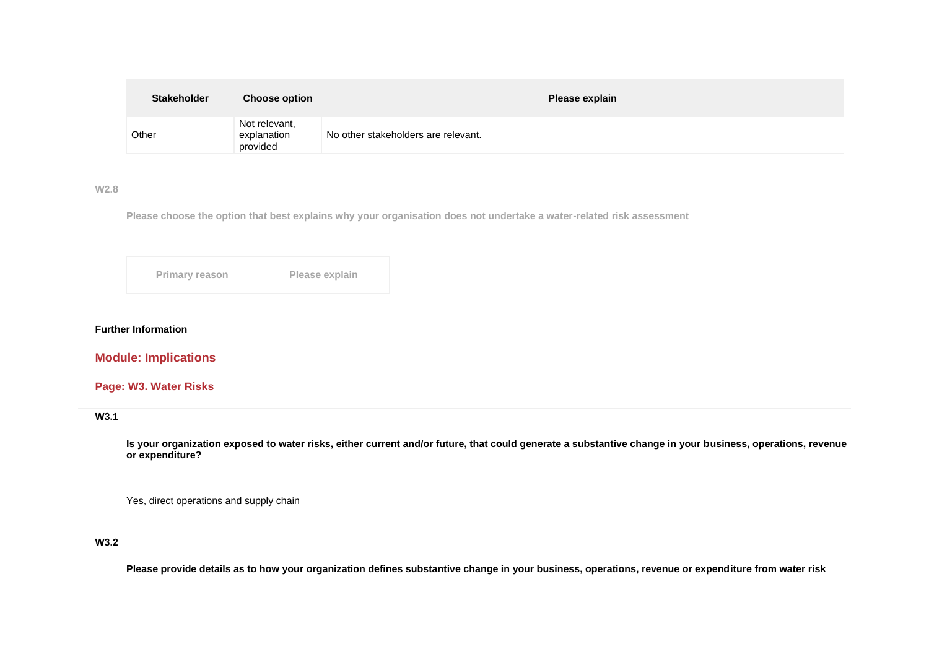| <b>Stakeholder</b> | <b>Choose option</b>                     | Please explain                      |
|--------------------|------------------------------------------|-------------------------------------|
| Other              | Not relevant,<br>explanation<br>provided | No other stakeholders are relevant. |

**W2.8**

**Please choose the option that best explains why your organisation does not undertake a water-related risk assessment**

| Primary reason | Please explain |
|----------------|----------------|
|----------------|----------------|

# **Further Information**

# **Module: Implications**

# **Page: W3. Water Risks**

## **W3.1**

**Is your organization exposed to water risks, either current and/or future, that could generate a substantive change in your business, operations, revenue or expenditure?**

Yes, direct operations and supply chain

### **W3.2**

**Please provide details as to how your organization defines substantive change in your business, operations, revenue or expenditure from water risk**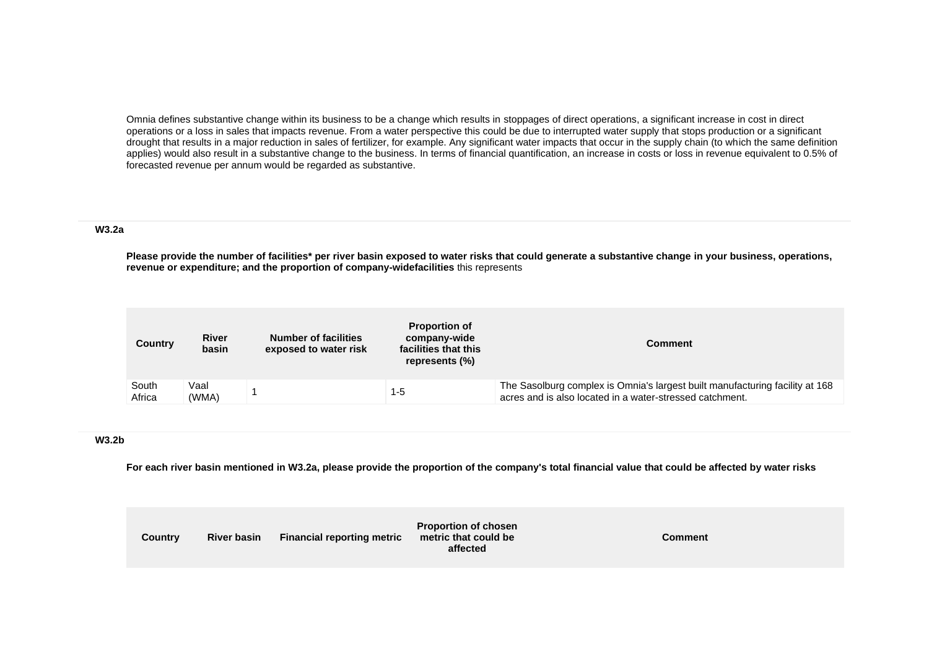Omnia defines substantive change within its business to be a change which results in stoppages of direct operations, a significant increase in cost in direct operations or a loss in sales that impacts revenue. From a water perspective this could be due to interrupted water supply that stops production or a significant drought that results in a major reduction in sales of fertilizer, for example. Any significant water impacts that occur in the supply chain (to which the same definition applies) would also result in a substantive change to the business. In terms of financial quantification, an increase in costs or loss in revenue equivalent to 0.5% of forecasted revenue per annum would be regarded as substantive.

### **W3.2a**

**Please provide the number of facilities\* per river basin exposed to water risks that could generate a substantive change in your business, operations, revenue or expenditure; and the proportion of company-widefacilities** this represents

| Country         | <b>River</b><br>basin | <b>Number of facilities</b><br>exposed to water risk | <b>Proportion of</b><br>company-wide<br>facilities that this<br>represents (%) | Comment                                                                                                                                  |
|-----------------|-----------------------|------------------------------------------------------|--------------------------------------------------------------------------------|------------------------------------------------------------------------------------------------------------------------------------------|
| South<br>Africa | Vaal<br>(WMA)         |                                                      | $1 - 5$                                                                        | The Sasolburg complex is Omnia's largest built manufacturing facility at 168<br>acres and is also located in a water-stressed catchment. |

#### **W3.2b**

**For each river basin mentioned in W3.2a, please provide the proportion of the company's total financial value that could be affected by water risks**

| <b>Country</b> | <b>River basin</b> | <b>Financial reporting metric</b> | <b>Proportion of chosen</b><br>metric that could be<br>affected | <b>Comment</b> |
|----------------|--------------------|-----------------------------------|-----------------------------------------------------------------|----------------|
|----------------|--------------------|-----------------------------------|-----------------------------------------------------------------|----------------|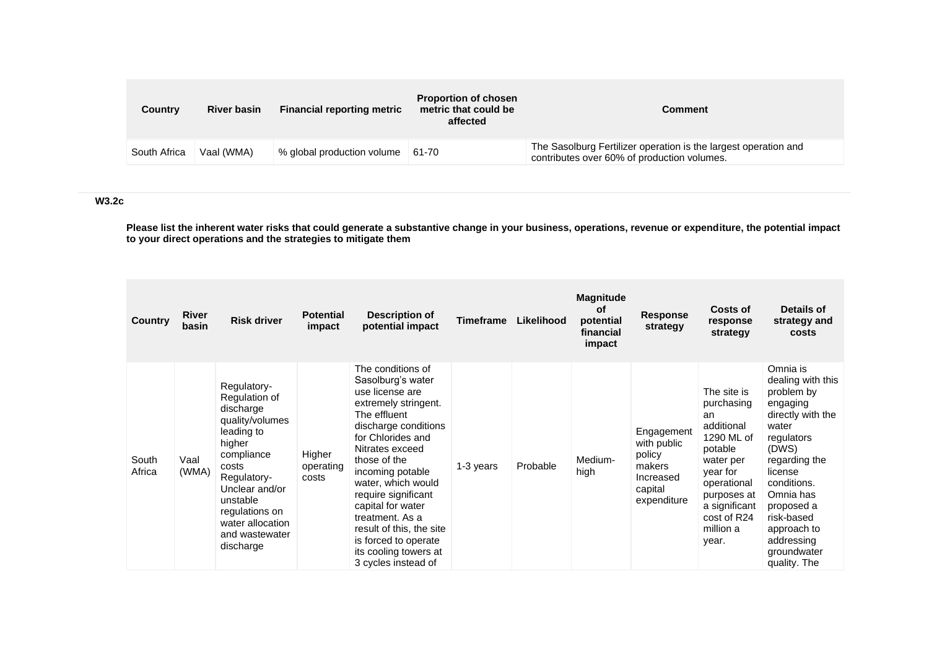| Country      | <b>River basin</b> | <b>Financial reporting metric</b> | <b>Proportion of chosen</b><br>metric that could be<br>affected | Comment                                                                                                        |
|--------------|--------------------|-----------------------------------|-----------------------------------------------------------------|----------------------------------------------------------------------------------------------------------------|
| South Africa | Vaal (WMA)         | % global production volume 61-70  |                                                                 | The Sasolburg Fertilizer operation is the largest operation and<br>contributes over 60% of production volumes. |

**W3.2c**

**Please list the inherent water risks that could generate a substantive change in your business, operations, revenue or expenditure, the potential impact to your direct operations and the strategies to mitigate them**

| <b>Country</b>  | River<br>basin | <b>Risk driver</b>                                                                                                                                                                                                            | <b>Potential</b><br>impact   | Description of<br>potential impact                                                                                                                                                                                                                                                                                                                                                             | <b>Timeframe</b> | Likelihood | <b>Magnitude</b><br><b>of</b><br>potential<br>financial<br>impact | <b>Response</b><br>strategy                                                          | <b>Costs of</b><br>response<br>strategy                                                                                                                                             | Details of<br>strategy and<br>costs                                                                                                                                                                                                                          |
|-----------------|----------------|-------------------------------------------------------------------------------------------------------------------------------------------------------------------------------------------------------------------------------|------------------------------|------------------------------------------------------------------------------------------------------------------------------------------------------------------------------------------------------------------------------------------------------------------------------------------------------------------------------------------------------------------------------------------------|------------------|------------|-------------------------------------------------------------------|--------------------------------------------------------------------------------------|-------------------------------------------------------------------------------------------------------------------------------------------------------------------------------------|--------------------------------------------------------------------------------------------------------------------------------------------------------------------------------------------------------------------------------------------------------------|
| South<br>Africa | Vaal<br>(WMA)  | Regulatory-<br>Regulation of<br>discharge<br>quality/volumes<br>leading to<br>higher<br>compliance<br>costs<br>Regulatory-<br>Unclear and/or<br>unstable<br>regulations on<br>water allocation<br>and wastewater<br>discharge | Higher<br>operating<br>costs | The conditions of<br>Sasolburg's water<br>use license are<br>extremely stringent.<br>The effluent<br>discharge conditions<br>for Chlorides and<br>Nitrates exceed<br>those of the<br>incoming potable<br>water, which would<br>require significant<br>capital for water<br>treatment. As a<br>result of this, the site<br>is forced to operate<br>its cooling towers at<br>3 cycles instead of | 1-3 years        | Probable   | Medium-<br>high                                                   | Engagement<br>with public<br>policy<br>makers<br>Increased<br>capital<br>expenditure | The site is<br>purchasing<br>an<br>additional<br>1290 ML of<br>potable<br>water per<br>year for<br>operational<br>purposes at<br>a significant<br>cost of R24<br>million a<br>year. | Omnia is<br>dealing with this<br>problem by<br>engaging<br>directly with the<br>water<br>regulators<br>(DWS)<br>regarding the<br>license<br>conditions.<br>Omnia has<br>proposed a<br>risk-based<br>approach to<br>addressing<br>groundwater<br>quality. The |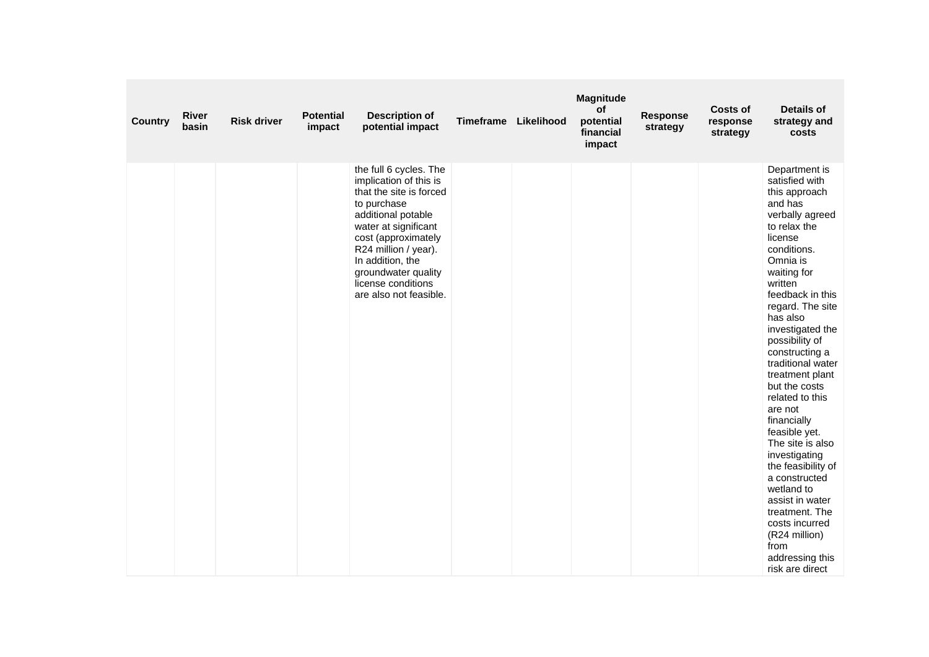| <b>Country</b> | <b>River</b><br>basin | <b>Risk driver</b> | <b>Potential</b><br>impact | <b>Description of</b><br>potential impact                                                                                                                                                                                                                                          | <b>Timeframe</b> | Likelihood | <b>Magnitude</b><br>of<br>potential<br>financial<br>impact | <b>Response</b><br>strategy | <b>Costs of</b><br>response<br>strategy | <b>Details of</b><br>strategy and<br>costs                                                                                                                                                                                                                                                                                                                                                                                                                                                                                                                                                                        |
|----------------|-----------------------|--------------------|----------------------------|------------------------------------------------------------------------------------------------------------------------------------------------------------------------------------------------------------------------------------------------------------------------------------|------------------|------------|------------------------------------------------------------|-----------------------------|-----------------------------------------|-------------------------------------------------------------------------------------------------------------------------------------------------------------------------------------------------------------------------------------------------------------------------------------------------------------------------------------------------------------------------------------------------------------------------------------------------------------------------------------------------------------------------------------------------------------------------------------------------------------------|
|                |                       |                    |                            | the full 6 cycles. The<br>implication of this is<br>that the site is forced<br>to purchase<br>additional potable<br>water at significant<br>cost (approximately<br>R24 million / year).<br>In addition, the<br>groundwater quality<br>license conditions<br>are also not feasible. |                  |            |                                                            |                             |                                         | Department is<br>satisfied with<br>this approach<br>and has<br>verbally agreed<br>to relax the<br>license<br>conditions.<br>Omnia is<br>waiting for<br>written<br>feedback in this<br>regard. The site<br>has also<br>investigated the<br>possibility of<br>constructing a<br>traditional water<br>treatment plant<br>but the costs<br>related to this<br>are not<br>financially<br>feasible yet.<br>The site is also<br>investigating<br>the feasibility of<br>a constructed<br>wetland to<br>assist in water<br>treatment. The<br>costs incurred<br>(R24 million)<br>from<br>addressing this<br>risk are direct |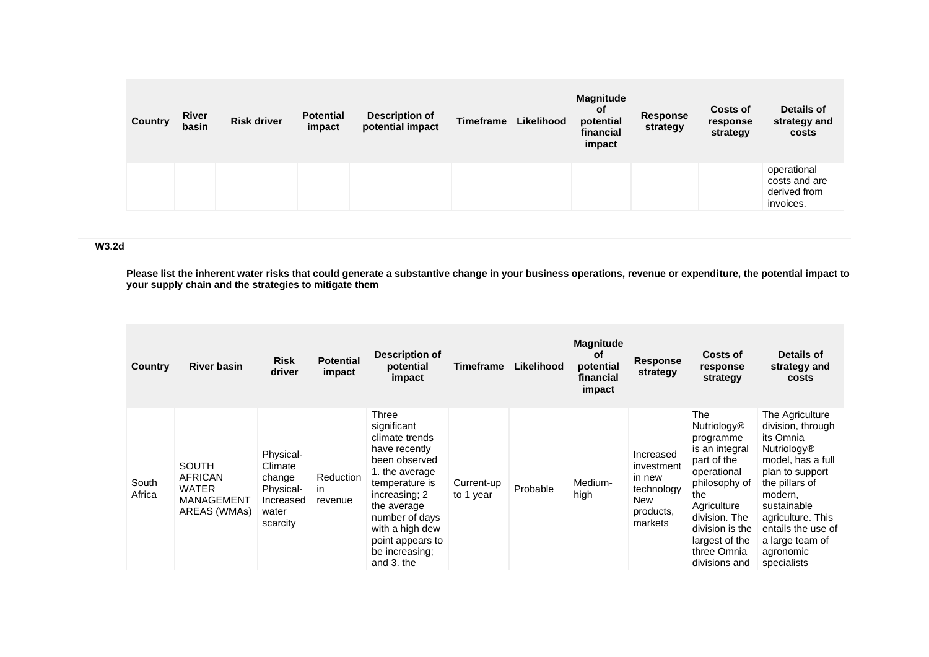| <b>Country</b> | <b>River</b><br>basin | <b>Risk driver</b> | <b>Potential</b><br>impact | <b>Description of</b><br>potential impact | <b>Timeframe</b> | Likelihood | <b>Magnitude</b><br><b>of</b><br>potential<br>financial<br>impact | <b>Response</b><br>strategy | <b>Costs of</b><br>response<br>strategy | Details of<br>strategy and<br>costs                       |
|----------------|-----------------------|--------------------|----------------------------|-------------------------------------------|------------------|------------|-------------------------------------------------------------------|-----------------------------|-----------------------------------------|-----------------------------------------------------------|
|                |                       |                    |                            |                                           |                  |            |                                                                   |                             |                                         | operational<br>costs and are<br>derived from<br>invoices. |

### **W3.2d**

**Please list the inherent water risks that could generate a substantive change in your business operations, revenue or expenditure, the potential impact to your supply chain and the strategies to mitigate them**

| Country         | <b>River basin</b>                                                    | <b>Risk</b><br>driver                                                         | <b>Potential</b><br>impact | <b>Description of</b><br>potential<br>impact                                                                                                                                                                                          | Timeframe               | Likelihood | <b>Magnitude</b><br><b>of</b><br>potential<br>financial<br>impact | <b>Response</b><br>strategy                                                    | Costs of<br>response<br>strategy                                                                                                                                                                                    | Details of<br>strategy and<br>costs                                                                                                                                                                                                                   |
|-----------------|-----------------------------------------------------------------------|-------------------------------------------------------------------------------|----------------------------|---------------------------------------------------------------------------------------------------------------------------------------------------------------------------------------------------------------------------------------|-------------------------|------------|-------------------------------------------------------------------|--------------------------------------------------------------------------------|---------------------------------------------------------------------------------------------------------------------------------------------------------------------------------------------------------------------|-------------------------------------------------------------------------------------------------------------------------------------------------------------------------------------------------------------------------------------------------------|
| South<br>Africa | <b>SOUTH</b><br>AFRICAN<br><b>WATER</b><br>MANAGEMENT<br>AREAS (WMAs) | Physical-<br>Climate<br>change<br>Physical-<br>Increased<br>water<br>scarcity | Reduction<br>in<br>revenue | Three<br>significant<br>climate trends<br>have recently<br>been observed<br>1. the average<br>temperature is<br>increasing; 2<br>the average<br>number of days<br>with a high dew<br>point appears to<br>be increasing:<br>and 3. the | Current-up<br>to 1 year | Probable   | Medium-<br>high                                                   | Increased<br>investment<br>in new<br>technology<br>New<br>products,<br>markets | The<br><b>Nutriology®</b><br>programme<br>is an integral<br>part of the<br>operational<br>philosophy of<br>the<br>Agriculture<br>division. The<br>division is the<br>largest of the<br>three Omnia<br>divisions and | The Agriculture<br>division, through<br>its Omnia<br><b>Nutriology®</b><br>model, has a full<br>plan to support<br>the pillars of<br>modern,<br>sustainable<br>agriculture. This<br>entails the use of<br>a large team of<br>agronomic<br>specialists |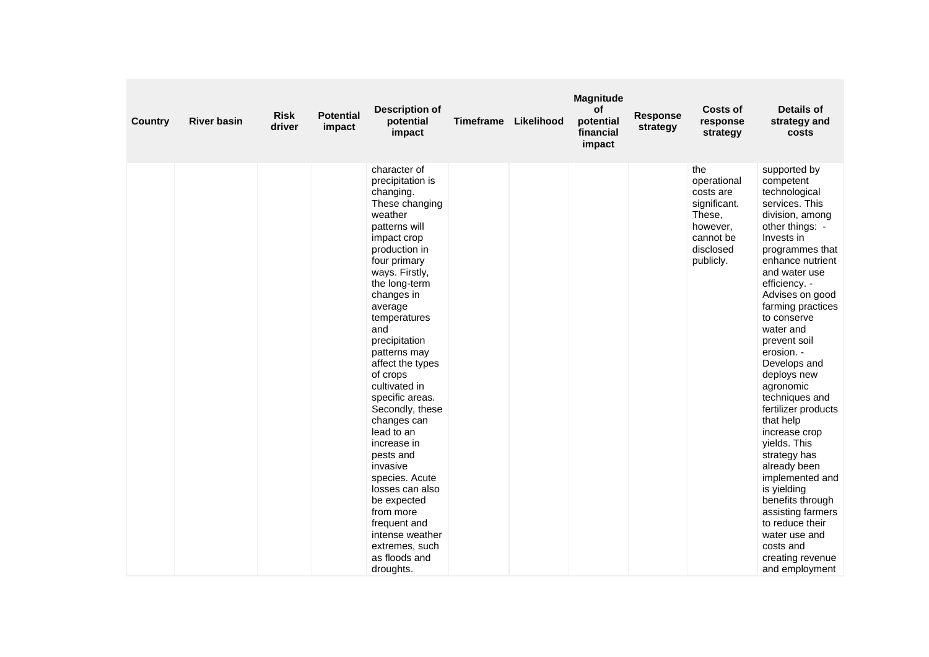| <b>Country</b> | <b>River basin</b> | <b>Risk</b><br>driver | <b>Potential</b><br>impact | <b>Description of</b><br>potential<br>impact                                                                                                                                                                                                                                                                                                                                                                                                                                                                                                                                    | <b>Timeframe</b> | Likelihood | <b>Magnitude</b><br>of<br>potential<br>financial<br>impact | <b>Response</b><br>strategy | Costs of<br>response<br>strategy                                                                             | <b>Details of</b><br>strategy and<br>costs                                                                                                                                                                                                                                                                                                                                                                                                                                                                                                                                                                                       |
|----------------|--------------------|-----------------------|----------------------------|---------------------------------------------------------------------------------------------------------------------------------------------------------------------------------------------------------------------------------------------------------------------------------------------------------------------------------------------------------------------------------------------------------------------------------------------------------------------------------------------------------------------------------------------------------------------------------|------------------|------------|------------------------------------------------------------|-----------------------------|--------------------------------------------------------------------------------------------------------------|----------------------------------------------------------------------------------------------------------------------------------------------------------------------------------------------------------------------------------------------------------------------------------------------------------------------------------------------------------------------------------------------------------------------------------------------------------------------------------------------------------------------------------------------------------------------------------------------------------------------------------|
|                |                    |                       |                            | character of<br>precipitation is<br>changing.<br>These changing<br>weather<br>patterns will<br>impact crop<br>production in<br>four primary<br>ways. Firstly,<br>the long-term<br>changes in<br>average<br>temperatures<br>and<br>precipitation<br>patterns may<br>affect the types<br>of crops<br>cultivated in<br>specific areas.<br>Secondly, these<br>changes can<br>lead to an<br>increase in<br>pests and<br>invasive<br>species. Acute<br>losses can also<br>be expected<br>from more<br>frequent and<br>intense weather<br>extremes, such<br>as floods and<br>droughts. |                  |            |                                                            |                             | the<br>operational<br>costs are<br>significant.<br>These,<br>however,<br>cannot be<br>disclosed<br>publicly. | supported by<br>competent<br>technological<br>services. This<br>division, among<br>other things: -<br>Invests in<br>programmes that<br>enhance nutrient<br>and water use<br>efficiency. -<br>Advises on good<br>farming practices<br>to conserve<br>water and<br>prevent soil<br>erosion. -<br>Develops and<br>deploys new<br>agronomic<br>techniques and<br>fertilizer products<br>that help<br>increase crop<br>vields. This<br>strategy has<br>already been<br>implemented and<br>is yielding<br>benefits through<br>assisting farmers<br>to reduce their<br>water use and<br>costs and<br>creating revenue<br>and employment |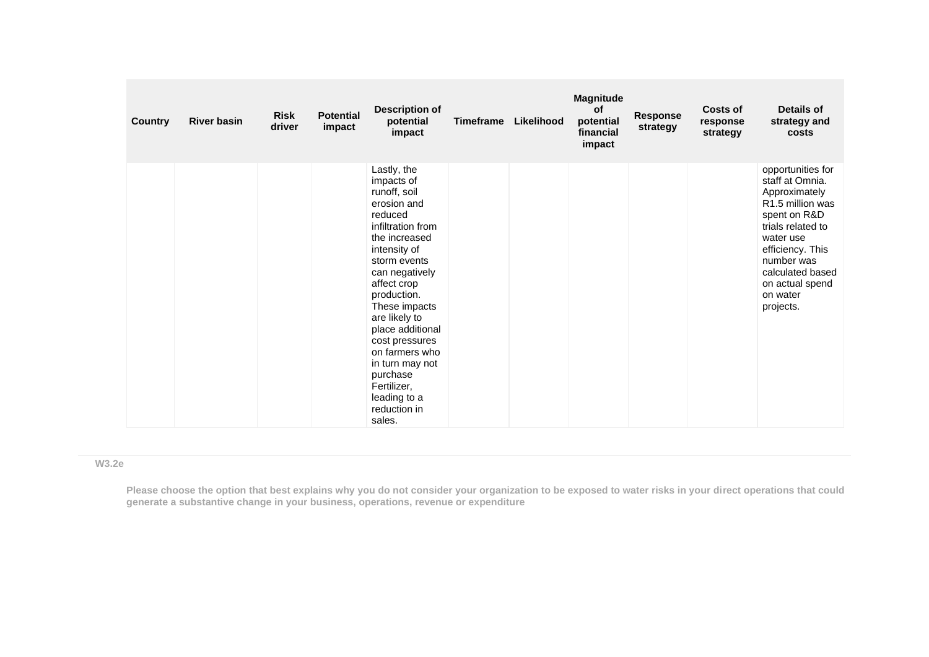| <b>Country</b> | <b>River basin</b> | <b>Risk</b><br>driver | <b>Potential</b><br>impact | <b>Description of</b><br>potential<br>impact                                                                                                                                                                                                                                                                                                                                | <b>Timeframe</b> | Likelihood | <b>Magnitude</b><br><b>of</b><br>potential<br>financial<br>impact | Response<br>strategy | <b>Costs of</b><br>response<br>strategy | <b>Details of</b><br>strategy and<br>costs                                                                                                                                                                                                |
|----------------|--------------------|-----------------------|----------------------------|-----------------------------------------------------------------------------------------------------------------------------------------------------------------------------------------------------------------------------------------------------------------------------------------------------------------------------------------------------------------------------|------------------|------------|-------------------------------------------------------------------|----------------------|-----------------------------------------|-------------------------------------------------------------------------------------------------------------------------------------------------------------------------------------------------------------------------------------------|
|                |                    |                       |                            | Lastly, the<br>impacts of<br>runoff, soil<br>erosion and<br>reduced<br>infiltration from<br>the increased<br>intensity of<br>storm events<br>can negatively<br>affect crop<br>production.<br>These impacts<br>are likely to<br>place additional<br>cost pressures<br>on farmers who<br>in turn may not<br>purchase<br>Fertilizer,<br>leading to a<br>reduction in<br>sales. |                  |            |                                                                   |                      |                                         | opportunities for<br>staff at Omnia.<br>Approximately<br>R <sub>1.5</sub> million was<br>spent on R&D<br>trials related to<br>water use<br>efficiency. This<br>number was<br>calculated based<br>on actual spend<br>on water<br>projects. |

### **W3.2e**

**Please choose the option that best explains why you do not consider your organization to be exposed to water risks in your direct operations that could generate a substantive change in your business, operations, revenue or expenditure**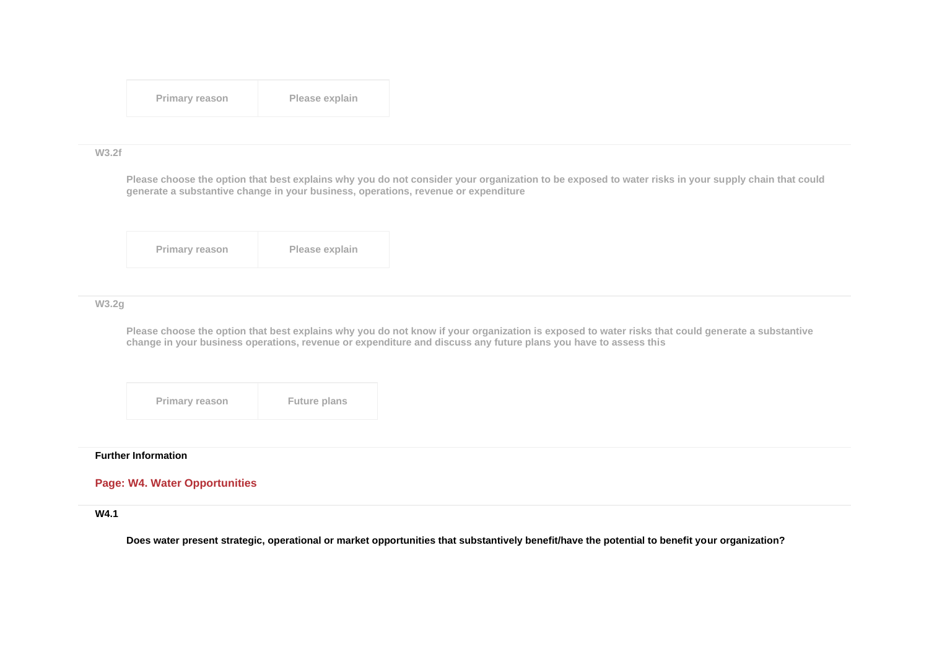| <b>Primary reason</b> | Please explain |
|-----------------------|----------------|
|-----------------------|----------------|

#### **W3.2f**

**Please choose the option that best explains why you do not consider your organization to be exposed to water risks in your supply chain that could generate a substantive change in your business, operations, revenue or expenditure**

| <b>Primary reason</b> | Please explain |
|-----------------------|----------------|
|-----------------------|----------------|

### **W3.2g**

**Please choose the option that best explains why you do not know if your organization is exposed to water risks that could generate a substantive change in your business operations, revenue or expenditure and discuss any future plans you have to assess this**

**Primary reason Future plans** 

#### **Further Information**

# **Page: W4. Water Opportunities**

#### **W4.1**

**Does water present strategic, operational or market opportunities that substantively benefit/have the potential to benefit your organization?**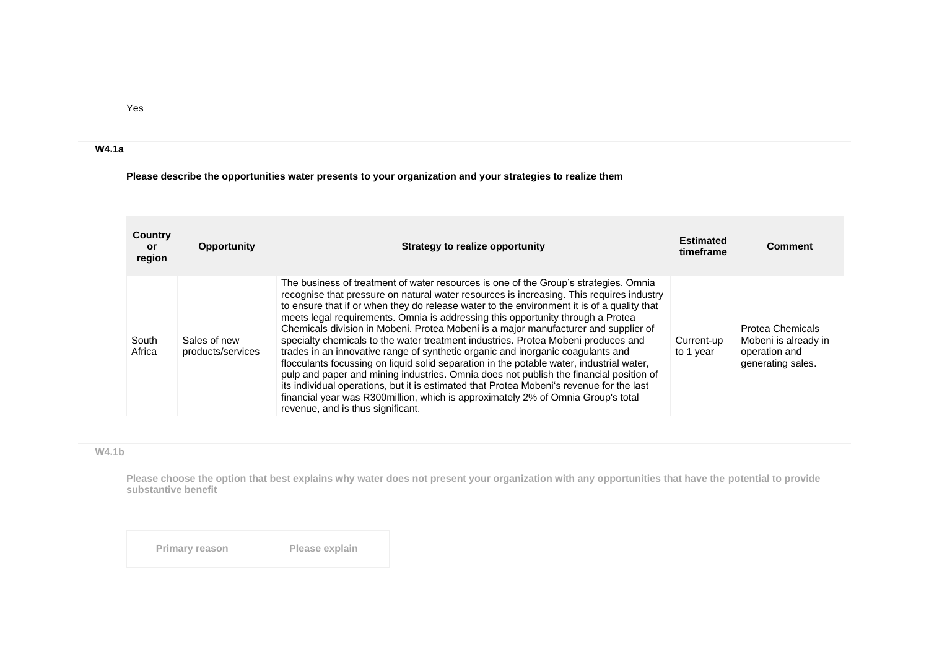**Please describe the opportunities water presents to your organization and your strategies to realize them**

| Country<br>or.<br>region | <b>Opportunity</b>                | Strategy to realize opportunity                                                                                                                                                                                                                                                                                                                                                                                                                                                                                                                                                                                                                                                                                                                                                                                                                                                                                                                                                                                                             | <b>Estimated</b><br>timeframe | <b>Comment</b>                                                                        |
|--------------------------|-----------------------------------|---------------------------------------------------------------------------------------------------------------------------------------------------------------------------------------------------------------------------------------------------------------------------------------------------------------------------------------------------------------------------------------------------------------------------------------------------------------------------------------------------------------------------------------------------------------------------------------------------------------------------------------------------------------------------------------------------------------------------------------------------------------------------------------------------------------------------------------------------------------------------------------------------------------------------------------------------------------------------------------------------------------------------------------------|-------------------------------|---------------------------------------------------------------------------------------|
| South<br>Africa          | Sales of new<br>products/services | The business of treatment of water resources is one of the Group's strategies. Omnia<br>recognise that pressure on natural water resources is increasing. This requires industry<br>to ensure that if or when they do release water to the environment it is of a quality that<br>meets legal requirements. Omnia is addressing this opportunity through a Protea<br>Chemicals division in Mobeni. Protea Mobeni is a major manufacturer and supplier of<br>specialty chemicals to the water treatment industries. Protea Mobeni produces and<br>trades in an innovative range of synthetic organic and inorganic coagulants and<br>flocculants focussing on liquid solid separation in the potable water, industrial water,<br>pulp and paper and mining industries. Omnia does not publish the financial position of<br>its individual operations, but it is estimated that Protea Mobeni's revenue for the last<br>financial year was R300million, which is approximately 2% of Omnia Group's total<br>revenue, and is thus significant. | Current-up<br>to 1 year       | <b>Protea Chemicals</b><br>Mobeni is already in<br>operation and<br>generating sales. |

# **W4.1b**

**Please choose the option that best explains why water does not present your organization with any opportunities that have the potential to provide substantive benefit**

| Primary reason | Please explain |
|----------------|----------------|
|----------------|----------------|

Yes

**W4.1a**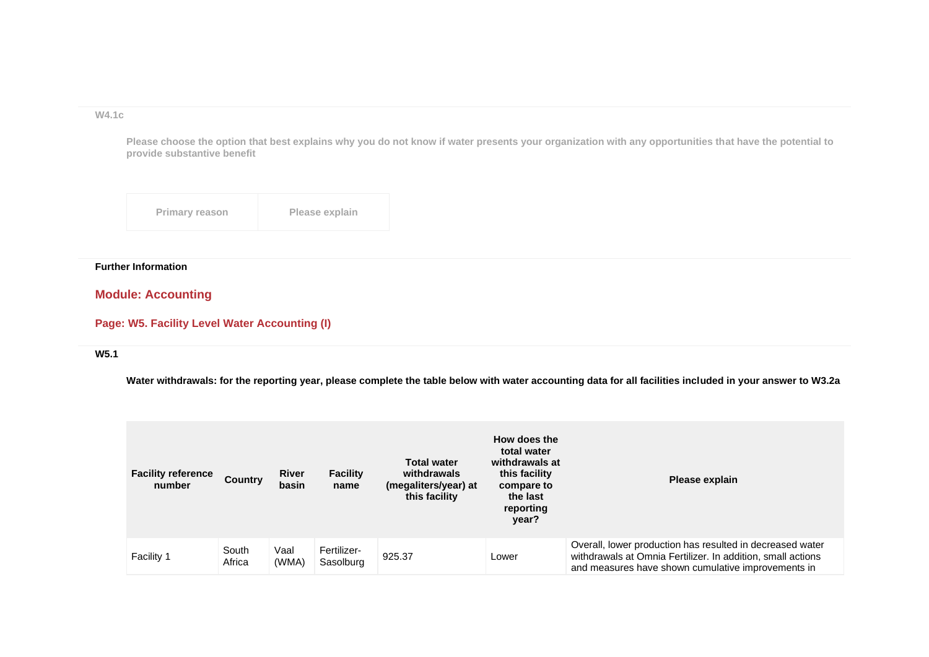**W4.1c**

**Please choose the option that best explains why you do not know if water presents your organization with any opportunities that have the potential to provide substantive benefit**

| <b>Primary reason</b> | Please explain |
|-----------------------|----------------|
|-----------------------|----------------|

# **Further Information**

# **Module: Accounting**

# **Page: W5. Facility Level Water Accounting (I)**

#### **W5.1**

**Water withdrawals: for the reporting year, please complete the table below with water accounting data for all facilities included in your answer to W3.2a**

| <b>Facility reference</b><br>number | <b>Country</b>  | <b>River</b><br>basin | <b>Facility</b><br>name  | <b>Total water</b><br>withdrawals<br>(megaliters/year) at<br>this facility | How does the<br>total water<br>withdrawals at<br>this facility<br>compare to<br>the last<br>reporting<br>year? | Please explain                                                                                                                                                                 |
|-------------------------------------|-----------------|-----------------------|--------------------------|----------------------------------------------------------------------------|----------------------------------------------------------------------------------------------------------------|--------------------------------------------------------------------------------------------------------------------------------------------------------------------------------|
| Facility 1                          | South<br>Africa | Vaal<br>(WMA)         | Fertilizer-<br>Sasolburg | 925.37                                                                     | Lower                                                                                                          | Overall, lower production has resulted in decreased water<br>withdrawals at Omnia Fertilizer. In addition, small actions<br>and measures have shown cumulative improvements in |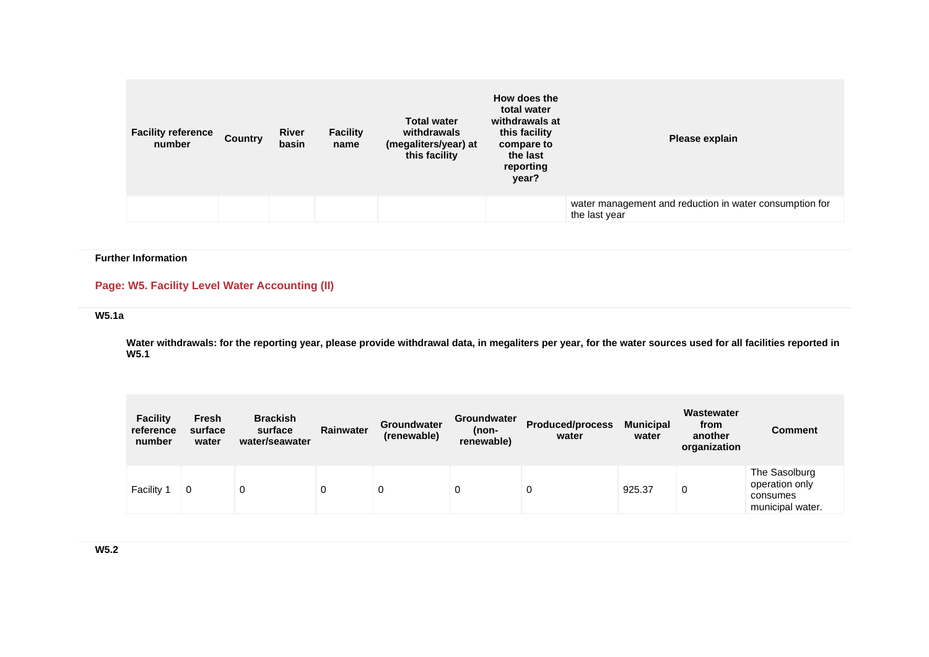| <b>Facility reference</b><br>number | <b>Country</b> | <b>River</b><br>basin | <b>Facility</b><br>name | <b>Total water</b><br>withdrawals<br>(megaliters/year) at<br>this facility | How does the<br>total water<br>withdrawals at<br>this facility<br>compare to<br>the last<br>reporting<br>year? | Please explain                                                           |
|-------------------------------------|----------------|-----------------------|-------------------------|----------------------------------------------------------------------------|----------------------------------------------------------------------------------------------------------------|--------------------------------------------------------------------------|
|                                     |                |                       |                         |                                                                            |                                                                                                                | water management and reduction in water consumption for<br>the last year |

## **Further Information**

# **Page: W5. Facility Level Water Accounting (II)**

# **W5.1a**

**Water withdrawals: for the reporting year, please provide withdrawal data, in megaliters per year, for the water sources used for all facilities reported in W5.1**

| <b>Facility</b><br>reference<br>number | <b>Fresh</b><br>surface<br>water | <b>Brackish</b><br>surface<br>water/seawater | <b>Rainwater</b> | <b>Groundwater</b><br>(renewable) | <b>Groundwater</b><br>(non-<br>renewable) | <b>Produced/process</b><br>water | <b>Municipal</b><br>water | Wastewater<br>from<br>another<br>organization | Comment                                                         |
|----------------------------------------|----------------------------------|----------------------------------------------|------------------|-----------------------------------|-------------------------------------------|----------------------------------|---------------------------|-----------------------------------------------|-----------------------------------------------------------------|
| Facility '                             | 0                                | υ                                            | 0                | 0                                 | 0                                         | 0                                | 925.37                    | 0                                             | The Sasolburg<br>operation only<br>consumes<br>municipal water. |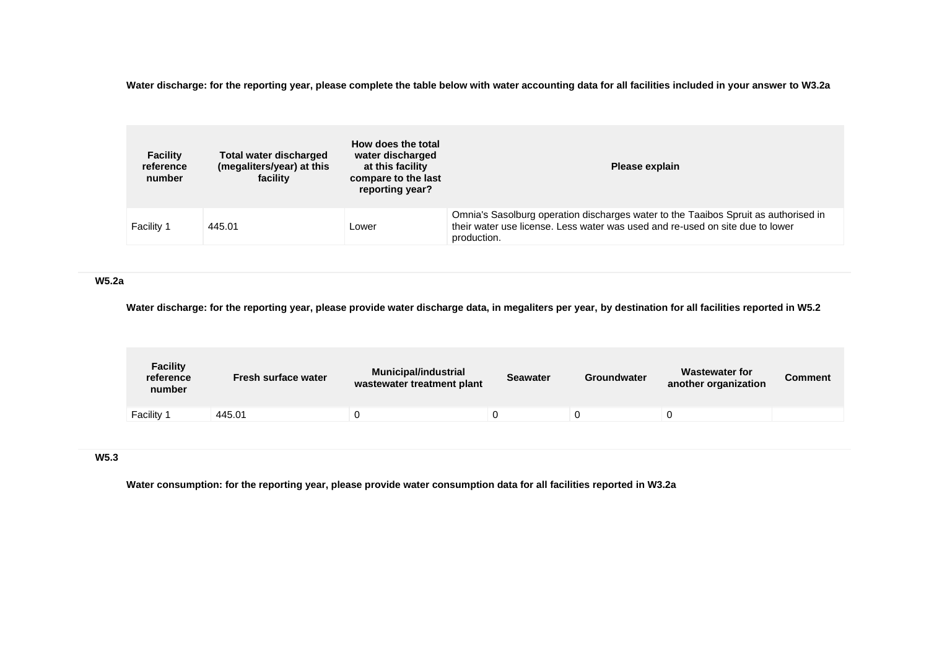**Water discharge: for the reporting year, please complete the table below with water accounting data for all facilities included in your answer to W3.2a**

| <b>Facility</b><br>reference<br>number | <b>Total water discharged</b><br>(megaliters/year) at this<br>facility | How does the total<br>water discharged<br>at this facility<br>compare to the last<br>reporting year? | Please explain                                                                                                                                                                      |
|----------------------------------------|------------------------------------------------------------------------|------------------------------------------------------------------------------------------------------|-------------------------------------------------------------------------------------------------------------------------------------------------------------------------------------|
| <b>Facility 1</b>                      | 445.01                                                                 | Lower                                                                                                | Omnia's Sasolburg operation discharges water to the Taaibos Spruit as authorised in<br>their water use license. Less water was used and re-used on site due to lower<br>production. |

### **W5.2a**

**Water discharge: for the reporting year, please provide water discharge data, in megaliters per year, by destination for all facilities reported in W5.2**

| <b>Municipal/industrial</b> | <b>Seawater</b> | Groundwater                | Wastewater for<br>another organization | <b>Comment</b> |
|-----------------------------|-----------------|----------------------------|----------------------------------------|----------------|
|                             |                 |                            |                                        |                |
|                             |                 | wastewater treatment plant |                                        |                |

## **W5.3**

**Water consumption: for the reporting year, please provide water consumption data for all facilities reported in W3.2a**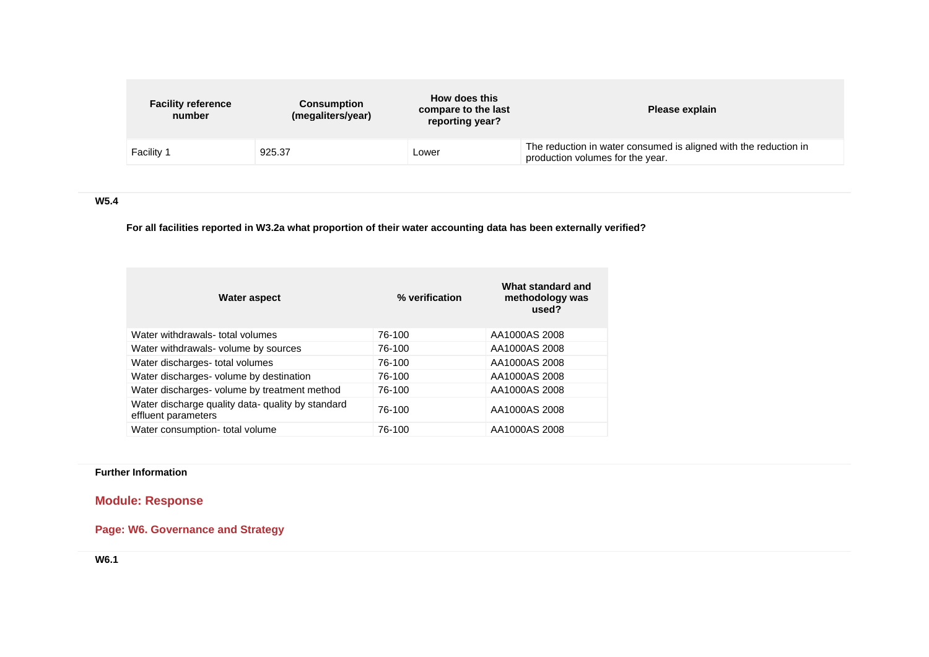| <b>Facility reference</b><br>Consumption<br>(megaliters/year)<br>number | How does this<br>compare to the last<br>reporting year? | Please explain                                                                                       |
|-------------------------------------------------------------------------|---------------------------------------------------------|------------------------------------------------------------------------------------------------------|
| <b>Facility 1</b><br>925.37                                             | Lower                                                   | The reduction in water consumed is aligned with the reduction in<br>production volumes for the year. |

# **W5.4**

**For all facilities reported in W3.2a what proportion of their water accounting data has been externally verified?**

| Water aspect                                                             | % verification | What standard and<br>methodology was<br>used? |
|--------------------------------------------------------------------------|----------------|-----------------------------------------------|
| Water withdrawals- total volumes                                         | 76-100         | AA1000AS 2008                                 |
| Water withdrawals- volume by sources                                     | 76-100         | AA1000AS 2008                                 |
| Water discharges- total volumes                                          | 76-100         | AA1000AS 2008                                 |
| Water discharges- volume by destination                                  | 76-100         | AA1000AS 2008                                 |
| Water discharges- volume by treatment method                             | 76-100         | AA1000AS 2008                                 |
| Water discharge quality data- quality by standard<br>effluent parameters | 76-100         | AA1000AS 2008                                 |
| Water consumption- total volume                                          | 76-100         | AA1000AS 2008                                 |

# **Further Information**

# **Module: Response**

# **Page: W6. Governance and Strategy**

**W6.1**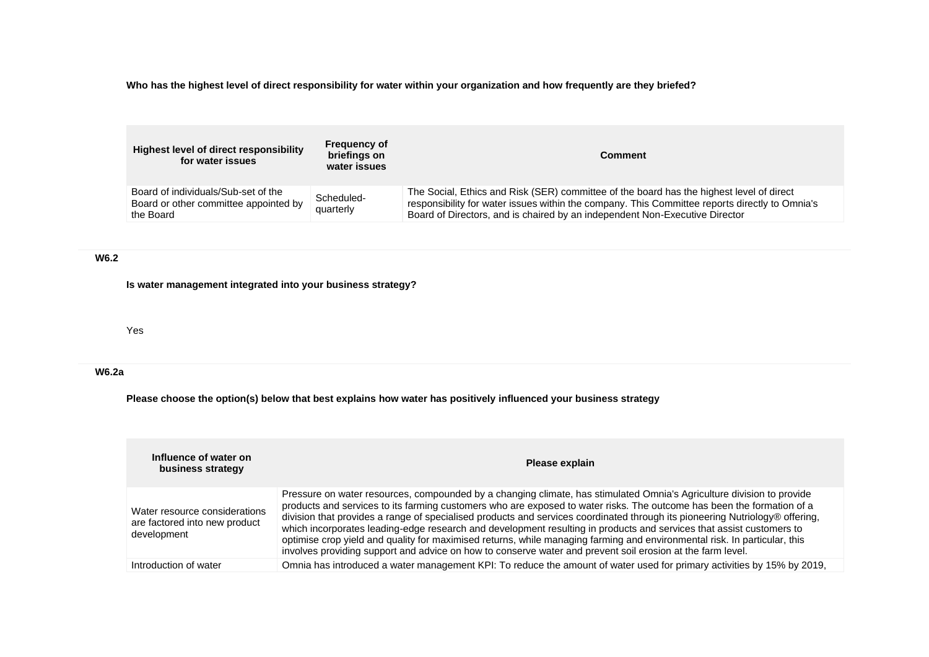**Who has the highest level of direct responsibility for water within your organization and how frequently are they briefed?**

| Highest level of direct responsibility<br>for water issues                                | <b>Frequency of</b><br>briefings on<br>water issues | <b>Comment</b>                                                                                                                                                                                                                                                            |
|-------------------------------------------------------------------------------------------|-----------------------------------------------------|---------------------------------------------------------------------------------------------------------------------------------------------------------------------------------------------------------------------------------------------------------------------------|
| Board of individuals/Sub-set of the<br>Board or other committee appointed by<br>the Board | Scheduled-<br>quarterly                             | The Social, Ethics and Risk (SER) committee of the board has the highest level of direct<br>responsibility for water issues within the company. This Committee reports directly to Omnia's<br>Board of Directors, and is chaired by an independent Non-Executive Director |

# **W6.2**

**Is water management integrated into your business strategy?**

Yes

# **W6.2a**

**Please choose the option(s) below that best explains how water has positively influenced your business strategy**

| Influence of water on<br>business strategy                                    | Please explain                                                                                                                                                                                                                                                                                                                                                                                                                                                                                                                                                                                                                                                                                                                                     |
|-------------------------------------------------------------------------------|----------------------------------------------------------------------------------------------------------------------------------------------------------------------------------------------------------------------------------------------------------------------------------------------------------------------------------------------------------------------------------------------------------------------------------------------------------------------------------------------------------------------------------------------------------------------------------------------------------------------------------------------------------------------------------------------------------------------------------------------------|
| Water resource considerations<br>are factored into new product<br>development | Pressure on water resources, compounded by a changing climate, has stimulated Omnia's Agriculture division to provide<br>products and services to its farming customers who are exposed to water risks. The outcome has been the formation of a<br>division that provides a range of specialised products and services coordinated through its pioneering Nutriology® offering,<br>which incorporates leading-edge research and development resulting in products and services that assist customers to<br>optimise crop yield and quality for maximised returns, while managing farming and environmental risk. In particular, this<br>involves providing support and advice on how to conserve water and prevent soil erosion at the farm level. |
| Introduction of water                                                         | Omnia has introduced a water management KPI: To reduce the amount of water used for primary activities by 15% by 2019,                                                                                                                                                                                                                                                                                                                                                                                                                                                                                                                                                                                                                             |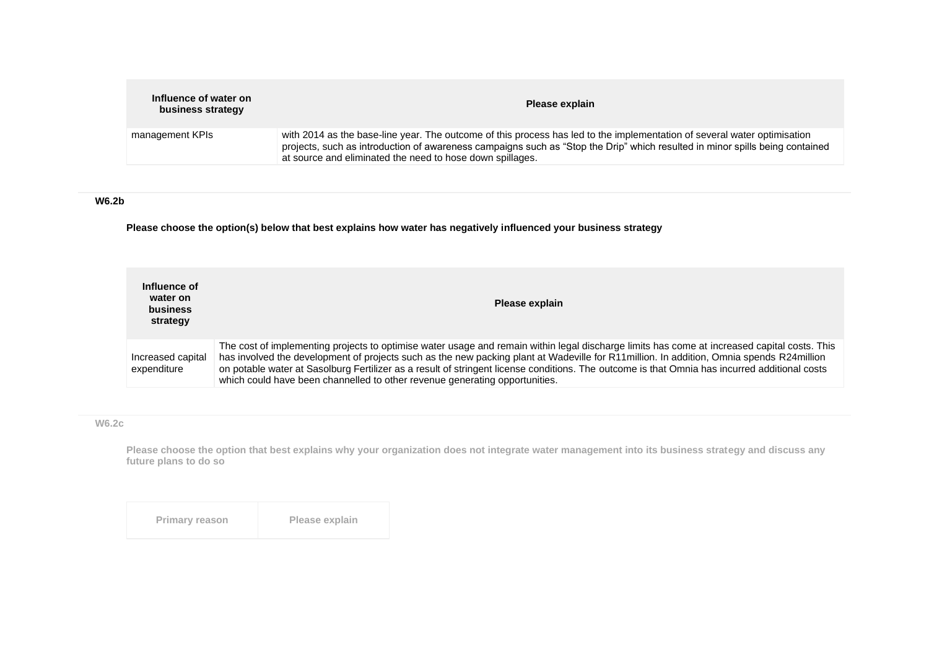| Influence of water on<br>business strategy | Please explain                                                                                                                                                                                                                                                                                                        |
|--------------------------------------------|-----------------------------------------------------------------------------------------------------------------------------------------------------------------------------------------------------------------------------------------------------------------------------------------------------------------------|
| management KPIs                            | with 2014 as the base-line year. The outcome of this process has led to the implementation of several water optimisation<br>projects, such as introduction of awareness campaigns such as "Stop the Drip" which resulted in minor spills being contained<br>at source and eliminated the need to hose down spillages. |

# **W6.2b**

**Please choose the option(s) below that best explains how water has negatively influenced your business strategy**

| Influence of<br>water on<br><b>business</b><br>strategy | Please explain                                                                                                                                                                                                                                                                                                                                                                                                                                                                                                           |
|---------------------------------------------------------|--------------------------------------------------------------------------------------------------------------------------------------------------------------------------------------------------------------------------------------------------------------------------------------------------------------------------------------------------------------------------------------------------------------------------------------------------------------------------------------------------------------------------|
| Increased capital<br>expenditure                        | The cost of implementing projects to optimise water usage and remain within legal discharge limits has come at increased capital costs. This<br>has involved the development of projects such as the new packing plant at Wadeville for R11million. In addition, Omnia spends R24million<br>on potable water at Sasolburg Fertilizer as a result of stringent license conditions. The outcome is that Omnia has incurred additional costs<br>which could have been channelled to other revenue generating opportunities. |

## **W6.2c**

**Please choose the option that best explains why your organization does not integrate water management into its business strategy and discuss any future plans to do so**

| Please explain<br><b>Primary reason</b> |
|-----------------------------------------|
|-----------------------------------------|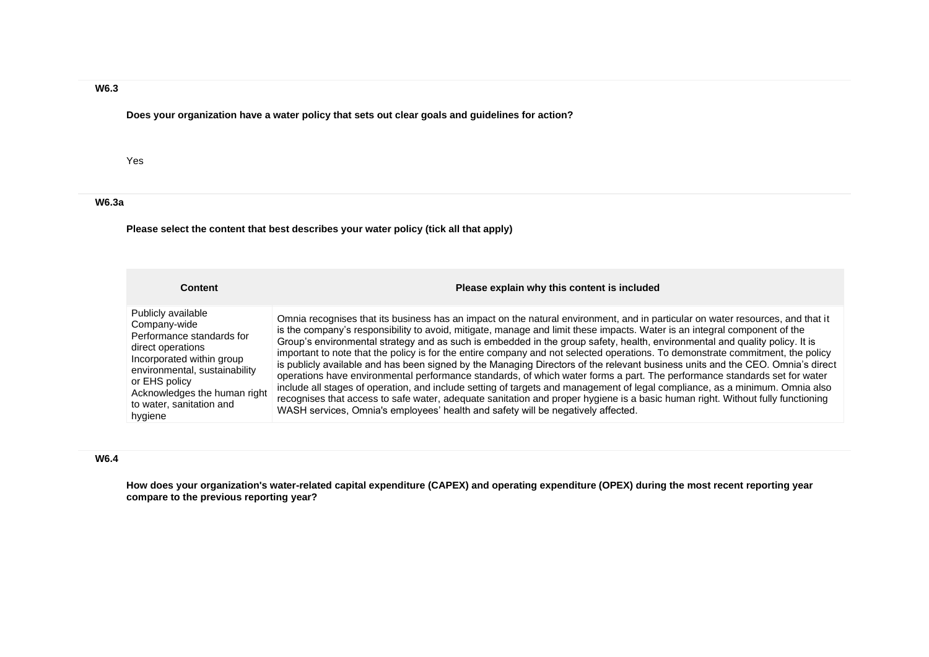# **W6.3**

**Does your organization have a water policy that sets out clear goals and guidelines for action?**

### Yes

## **W6.3a**

**Please select the content that best describes your water policy (tick all that apply)**

| Content                                                                                                                                                                                                                                    | Please explain why this content is included                                                                                                                                                                                                                                                                                                                                                                                                                                                                                                                                                                                                                                                                                                                                                                                                                                                                                                                                                                                                                                                                                                       |
|--------------------------------------------------------------------------------------------------------------------------------------------------------------------------------------------------------------------------------------------|---------------------------------------------------------------------------------------------------------------------------------------------------------------------------------------------------------------------------------------------------------------------------------------------------------------------------------------------------------------------------------------------------------------------------------------------------------------------------------------------------------------------------------------------------------------------------------------------------------------------------------------------------------------------------------------------------------------------------------------------------------------------------------------------------------------------------------------------------------------------------------------------------------------------------------------------------------------------------------------------------------------------------------------------------------------------------------------------------------------------------------------------------|
| Publicly available<br>Company-wide<br>Performance standards for<br>direct operations<br>Incorporated within group<br>environmental, sustainability<br>or EHS policy<br>Acknowledges the human right<br>to water, sanitation and<br>hygiene | Omnia recognises that its business has an impact on the natural environment, and in particular on water resources, and that it<br>is the company's responsibility to avoid, mitigate, manage and limit these impacts. Water is an integral component of the<br>Group's environmental strategy and as such is embedded in the group safety, health, environmental and quality policy. It is<br>important to note that the policy is for the entire company and not selected operations. To demonstrate commitment, the policy<br>is publicly available and has been signed by the Managing Directors of the relevant business units and the CEO. Omnia's direct<br>operations have environmental performance standards, of which water forms a part. The performance standards set for water<br>include all stages of operation, and include setting of targets and management of legal compliance, as a minimum. Omnia also<br>recognises that access to safe water, adequate sanitation and proper hygiene is a basic human right. Without fully functioning<br>WASH services, Omnia's employees' health and safety will be negatively affected. |

### **W6.4**

**How does your organization's water-related capital expenditure (CAPEX) and operating expenditure (OPEX) during the most recent reporting year compare to the previous reporting year?**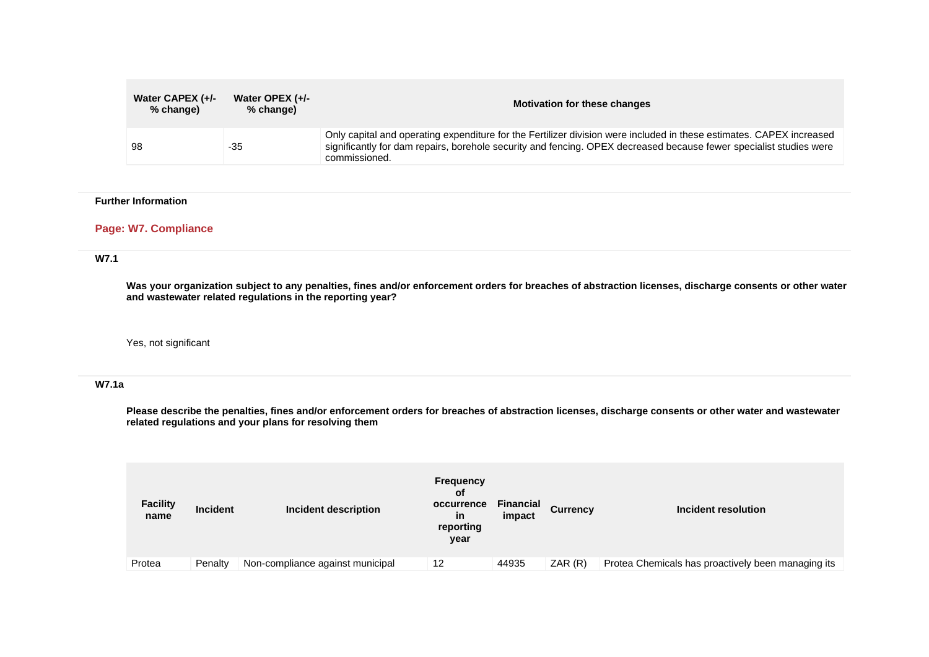| Water CAPEX (+/-<br>% change) | Water OPEX (+/-<br>% change) | <b>Motivation for these changes</b>                                                                                                                                                                                                                         |
|-------------------------------|------------------------------|-------------------------------------------------------------------------------------------------------------------------------------------------------------------------------------------------------------------------------------------------------------|
| 98                            | -35                          | Only capital and operating expenditure for the Fertilizer division were included in these estimates. CAPEX increased<br>significantly for dam repairs, borehole security and fencing. OPEX decreased because fewer specialist studies were<br>commissioned. |

#### **Further Information**

## **Page: W7. Compliance**

# **W7.1**

**Was your organization subject to any penalties, fines and/or enforcement orders for breaches of abstraction licenses, discharge consents or other water and wastewater related regulations in the reporting year?**

Yes, not significant

#### **W7.1a**

**Please describe the penalties, fines and/or enforcement orders for breaches of abstraction licenses, discharge consents or other water and wastewater related regulations and your plans for resolving them**

| <b>Facility</b><br>name | <b>Incident</b> | Incident description             | <b>Frequency</b><br>οf<br>occurrence<br>in<br>reporting<br>year | <b>Financial</b><br>impact | <b>Currency</b> | Incident resolution                                |
|-------------------------|-----------------|----------------------------------|-----------------------------------------------------------------|----------------------------|-----------------|----------------------------------------------------|
| Protea                  | Penalty         | Non-compliance against municipal | 12                                                              | 44935                      | ZAR(R)          | Protea Chemicals has proactively been managing its |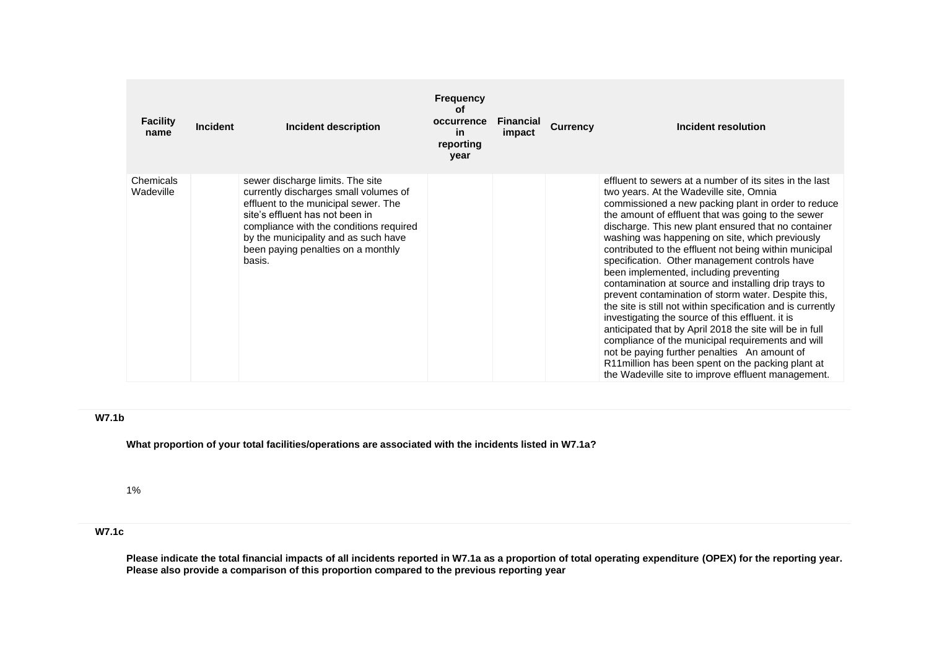| <b>Facility</b><br>name | <b>Incident</b> | Incident description                                                                                                                                                                                                                                                                    | <b>Frequency</b><br>οf<br>occurrence<br>in<br>reporting<br>year | <b>Financial</b><br>impact | <b>Currency</b> | Incident resolution                                                                                                                                                                                                                                                                                                                                                                                                                                                                                                                                                                                                                                                                                                                                                                                                                                                                                                                                                                          |
|-------------------------|-----------------|-----------------------------------------------------------------------------------------------------------------------------------------------------------------------------------------------------------------------------------------------------------------------------------------|-----------------------------------------------------------------|----------------------------|-----------------|----------------------------------------------------------------------------------------------------------------------------------------------------------------------------------------------------------------------------------------------------------------------------------------------------------------------------------------------------------------------------------------------------------------------------------------------------------------------------------------------------------------------------------------------------------------------------------------------------------------------------------------------------------------------------------------------------------------------------------------------------------------------------------------------------------------------------------------------------------------------------------------------------------------------------------------------------------------------------------------------|
| Chemicals<br>Wadeville  |                 | sewer discharge limits. The site<br>currently discharges small volumes of<br>effluent to the municipal sewer. The<br>site's effluent has not been in<br>compliance with the conditions required<br>by the municipality and as such have<br>been paying penalties on a monthly<br>basis. |                                                                 |                            |                 | effluent to sewers at a number of its sites in the last<br>two years. At the Wadeville site, Omnia<br>commissioned a new packing plant in order to reduce<br>the amount of effluent that was going to the sewer<br>discharge. This new plant ensured that no container<br>washing was happening on site, which previously<br>contributed to the effluent not being within municipal<br>specification. Other management controls have<br>been implemented, including preventing<br>contamination at source and installing drip trays to<br>prevent contamination of storm water. Despite this,<br>the site is still not within specification and is currently<br>investigating the source of this effluent. it is<br>anticipated that by April 2018 the site will be in full<br>compliance of the municipal requirements and will<br>not be paying further penalties An amount of<br>R11 million has been spent on the packing plant at<br>the Wadeville site to improve effluent management. |

### **W7.1b**

**What proportion of your total facilities/operations are associated with the incidents listed in W7.1a?**

1%

# **W7.1c**

**Please indicate the total financial impacts of all incidents reported in W7.1a as a proportion of total operating expenditure (OPEX) for the reporting year. Please also provide a comparison of this proportion compared to the previous reporting year**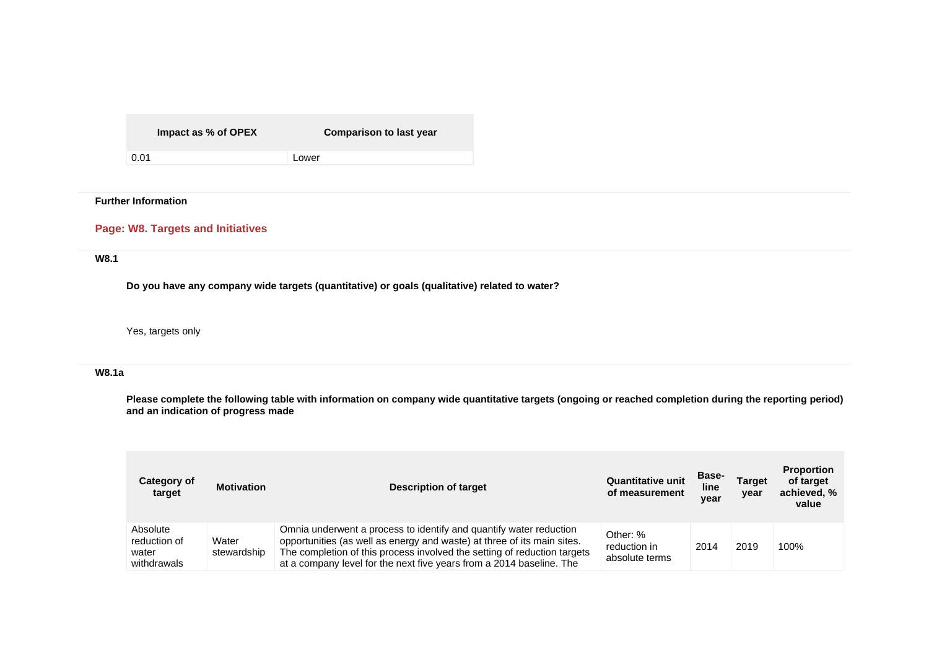**Impact as % of OPEX Comparison to last year**

0.01 Lower

# **Further Information**

# **Page: W8. Targets and Initiatives**

# **W8.1**

**Do you have any company wide targets (quantitative) or goals (qualitative) related to water?**

# Yes, targets only

### **W8.1a**

**Please complete the following table with information on company wide quantitative targets (ongoing or reached completion during the reporting period) and an indication of progress made**

| Category of<br>target                            | <b>Motivation</b>    | <b>Description of target</b>                                                                                                                                                                                                                                                                      | <b>Quantitative unit</b><br>of measurement | <b>Base-</b><br>line<br>year | <b>Target</b><br>year | <b>Proportion</b><br>of target<br>achieved, %<br>value |
|--------------------------------------------------|----------------------|---------------------------------------------------------------------------------------------------------------------------------------------------------------------------------------------------------------------------------------------------------------------------------------------------|--------------------------------------------|------------------------------|-----------------------|--------------------------------------------------------|
| Absolute<br>reduction of<br>water<br>withdrawals | Water<br>stewardship | Omnia underwent a process to identify and quantify water reduction<br>opportunities (as well as energy and waste) at three of its main sites.<br>The completion of this process involved the setting of reduction targets<br>at a company level for the next five years from a 2014 baseline. The | Other: %<br>reduction in<br>absolute terms | 2014                         | 2019                  | 100%                                                   |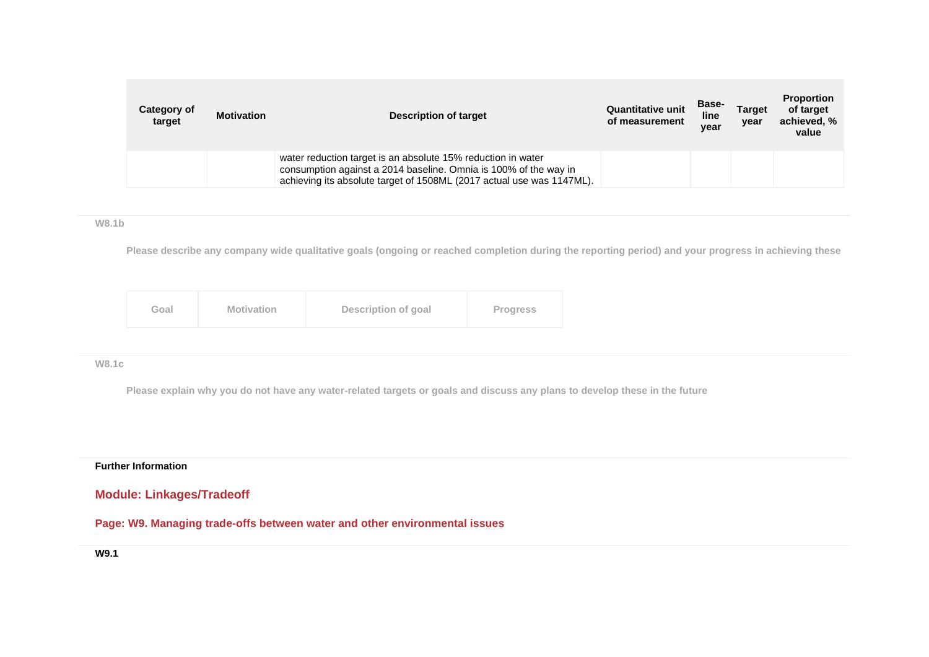| Category of<br>target | <b>Motivation</b> | Description of target                                                                                                                                                                                     | <b>Quantitative unit</b><br>of measurement | <b>Base-</b><br>line<br>year | <b>Target</b><br>year | <b>Proportion</b><br>of target<br>achieved, %<br>value |
|-----------------------|-------------------|-----------------------------------------------------------------------------------------------------------------------------------------------------------------------------------------------------------|--------------------------------------------|------------------------------|-----------------------|--------------------------------------------------------|
|                       |                   | water reduction target is an absolute 15% reduction in water<br>consumption against a 2014 baseline. Omnia is 100% of the way in<br>achieving its absolute target of 1508ML (2017 actual use was 1147ML). |                                            |                              |                       |                                                        |

### **W8.1b**

**Please describe any company wide qualitative goals (ongoing or reached completion during the reporting period) and your progress in achieving these**

| Goal | Description of goal<br><b>Motivation</b> | <b>Progress</b> |
|------|------------------------------------------|-----------------|
|------|------------------------------------------|-----------------|

## **W8.1c**

**Please explain why you do not have any water-related targets or goals and discuss any plans to develop these in the future**

### **Further Information**

# **Module: Linkages/Tradeoff**

**Page: W9. Managing trade-offs between water and other environmental issues**

## **W9.1**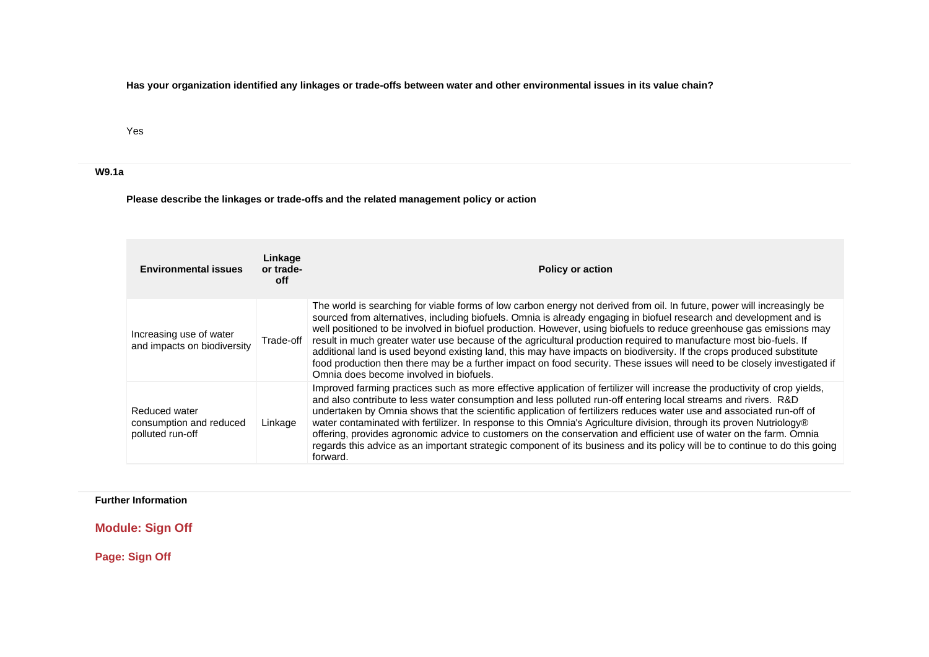**Has your organization identified any linkages or trade-offs between water and other environmental issues in its value chain?**

Yes

**W9.1a**

**Please describe the linkages or trade-offs and the related management policy or action**

| <b>Environmental issues</b>                                  | Linkage<br>or trade-<br>off | <b>Policy or action</b>                                                                                                                                                                                                                                                                                                                                                                                                                                                                                                                                                                                                                                                                                                                                                                        |
|--------------------------------------------------------------|-----------------------------|------------------------------------------------------------------------------------------------------------------------------------------------------------------------------------------------------------------------------------------------------------------------------------------------------------------------------------------------------------------------------------------------------------------------------------------------------------------------------------------------------------------------------------------------------------------------------------------------------------------------------------------------------------------------------------------------------------------------------------------------------------------------------------------------|
| Increasing use of water<br>and impacts on biodiversity       | Trade-off                   | The world is searching for viable forms of low carbon energy not derived from oil. In future, power will increasingly be<br>sourced from alternatives, including biofuels. Omnia is already engaging in biofuel research and development and is<br>well positioned to be involved in biofuel production. However, using biofuels to reduce greenhouse gas emissions may<br>result in much greater water use because of the agricultural production required to manufacture most bio-fuels. If<br>additional land is used beyond existing land, this may have impacts on biodiversity. If the crops produced substitute<br>food production then there may be a further impact on food security. These issues will need to be closely investigated if<br>Omnia does become involved in biofuels. |
| Reduced water<br>consumption and reduced<br>polluted run-off | Linkage                     | Improved farming practices such as more effective application of fertilizer will increase the productivity of crop yields,<br>and also contribute to less water consumption and less polluted run-off entering local streams and rivers. R&D<br>undertaken by Omnia shows that the scientific application of fertilizers reduces water use and associated run-off of<br>water contaminated with fertilizer. In response to this Omnia's Agriculture division, through its proven Nutriology®<br>offering, provides agronomic advice to customers on the conservation and efficient use of water on the farm. Omnia<br>regards this advice as an important strategic component of its business and its policy will be to continue to do this going<br>forward.                                  |

**Further Information**

**Module: Sign Off**

**Page: Sign Off**